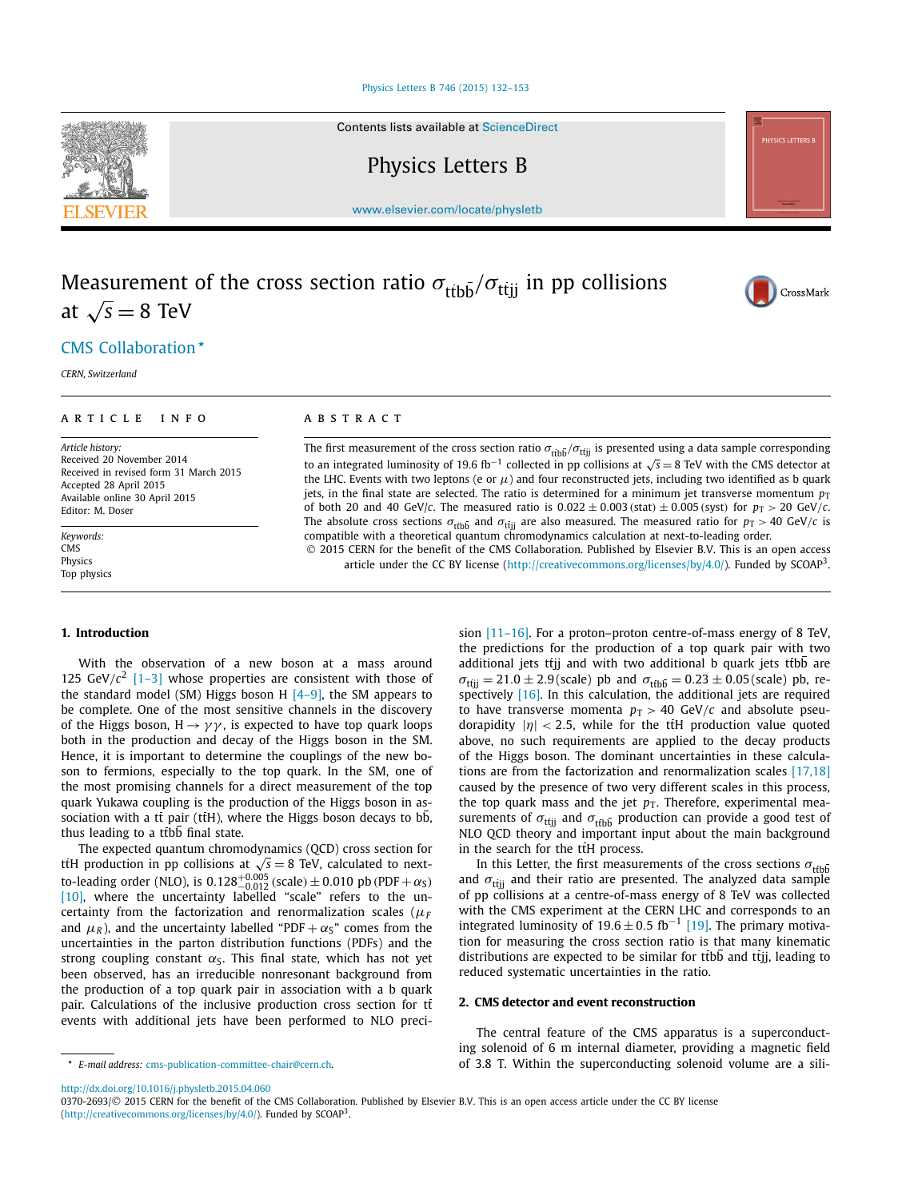#### [Physics Letters B 746 \(2015\) 132–153](http://dx.doi.org/10.1016/j.physletb.2015.04.060)

Contents lists available at [ScienceDirect](http://www.ScienceDirect.com/)

Physics Letters B

[www.elsevier.com/locate/physletb](http://www.elsevier.com/locate/physletb)



# Measurement of the cross section ratio  $\sigma_{\text{ttbb}}/\sigma_{\text{ttij}}$  in pp collisions at  $\sqrt{s} = 8$  TeV



### .CMS [Collaboration](#page-6-0)

*CERN, Switzerland*

#### A R T I C L E I N F O A B S T R A C T

*Article history:* Received 20 November 2014 Received in revised form 31 March 2015 Accepted 28 April 2015 Available online 30 April 2015 Editor: M. Doser

*Keywords:* CMS Physics Top physics

The first measurement of the cross section ratio  $\sigma_{\rm{ttbb}}/\sigma_{\rm{tijj}}$  is presented using a data sample corresponding to an integrated luminosity of 19.6 fb−<sup>1</sup> collected in pp collisions at <sup>√</sup>*<sup>s</sup>* <sup>=</sup> 8 TeV with the CMS detector at the LHC. Events with two leptons (e or  $\mu$ ) and four reconstructed jets, including two identified as b quark jets, in the final state are selected. The ratio is determined for a minimum jet transverse momentum  $p_T$ of both 20 and 40 GeV/*c*. The measured ratio is  $0.022 \pm 0.003$  *(stat)*  $\pm 0.005$  *(syst)* for  $p_T > 20$  GeV/*c*. The absolute cross sections  $\sigma_{ttbb}$  and  $\sigma_{ttjj}$  are also measured. The measured ratio for  $p_T > 40$  GeV/*c* is compatible with a theoretical quantum chromodynamics calculation at next-to-leading order.

© 2015 CERN for the benefit of the CMS Collaboration. Published by Elsevier B.V. This is an open access article under the CC BY license [\(http://creativecommons.org/licenses/by/4.0/\)](http://creativecommons.org/licenses/by/4.0/). Funded by SCOAP3.

#### **1. Introduction**

With the observation of a new boson at a mass around 125 GeV/ $c^2$  [\[1–3\]](#page-5-0) whose properties are consistent with those of the standard model (SM) Higgs boson H  $[4-9]$ , the SM appears to be complete. One of the most sensitive channels in the discovery of the Higgs boson,  $H \rightarrow \gamma \gamma$ , is expected to have top quark loops both in the production and decay of the Higgs boson in the SM. Hence, it is important to determine the couplings of the new boson to fermions, especially to the top quark. In the SM, one of the most promising channels for a direct measurement of the top quark Yukawa coupling is the production of the Higgs boson in association with a tt pair (ttH), where the Higgs boson decays to bb, thus leading to a ttbb final state.

The expected quantum chromodynamics (QCD) cross section for ttH production in pp collisions at  $\sqrt{s} = 8$  TeV, calculated to next- $\frac{1}{2}$  to-leading order (NLO), is 0.128<sup>+0.005</sup> (scale) ± 0.010 pb *(PDF +*  $\alpha_S$ *)* [\[10\],](#page-6-0) where the uncertainty labelled "scale" refers to the uncertainty from the factorization and renormalization scales (*μ<sup>F</sup>* and  $\mu_R$ ), and the uncertainty labelled "PDF +  $\alpha_S$ " comes from the uncertainties in the parton distribution functions (PDFs) and the strong coupling constant  $\alpha_S$ . This final state, which has not yet been observed, has an irreducible nonresonant background from the production of a top quark pair in association with a b quark pair. Calculations of the inclusive production cross section for tt events with additional jets have been performed to NLO precision  $[11-16]$ . For a proton–proton centre-of-mass energy of 8 TeV, the predictions for the production of a top quark pair with two additional jets ttjj and with two additional b quark jets ttbb are  $\sigma_{\text{tfii}} = 21.0 \pm 2.9$  (scale) pb and  $\sigma_{\text{tfib}} = 0.23 \pm 0.05$  (scale) pb, re-spectively [\[16\].](#page-6-0) In this calculation, the additional jets are required to have transverse momenta  $p_T > 40$  GeV/ $c$  and absolute pseudorapidity  $|\eta|$  < 2.5, while for the ttH production value quoted above, no such requirements are applied to the decay products of the Higgs boson. The dominant uncertainties in these calculations are from the factorization and renormalization scales [\[17,18\]](#page-6-0) caused by the presence of two very different scales in this process, the top quark mass and the jet  $p<sub>T</sub>$ . Therefore, experimental measurements of  $σ_{ttjj}$  and  $σ_{ttbb}$  production can provide a good test of NLO QCD theory and important input about the main background in the search for the ttH process.

In this Letter, the first measurements of the cross sections  $\sigma_{\text{tribb}}$ and  $\sigma_{\text{trij}}$  and their ratio are presented. The analyzed data sample of pp collisions at a centre-of-mass energy of 8 TeV was collected with the CMS experiment at the CERN LHC and corresponds to an integrated luminosity of  $19.6 \pm 0.5$  fb<sup>-1</sup> [\[19\].](#page-6-0) The primary motivation for measuring the cross section ratio is that many kinematic distributions are expected to be similar for ttbb and ttjj, leading to reduced systematic uncertainties in the ratio.

#### **2. CMS detector and event reconstruction**

The central feature of the CMS apparatus is a superconducting solenoid of 6 m internal diameter, providing a magnetic field of 3.8 T. Within the superconducting solenoid volume are a sili-

*E-mail address:* [cms-publication-committee-chair@cern.ch](mailto:cms-publication-committee-chair@cern.ch).

<http://dx.doi.org/10.1016/j.physletb.2015.04.060>

<sup>0370-2693/</sup>© 2015 CERN for the benefit of the CMS Collaboration. Published by Elsevier B.V. This is an open access article under the CC BY license [\(http://creativecommons.org/licenses/by/4.0/\)](http://creativecommons.org/licenses/by/4.0/). Funded by SCOAP3.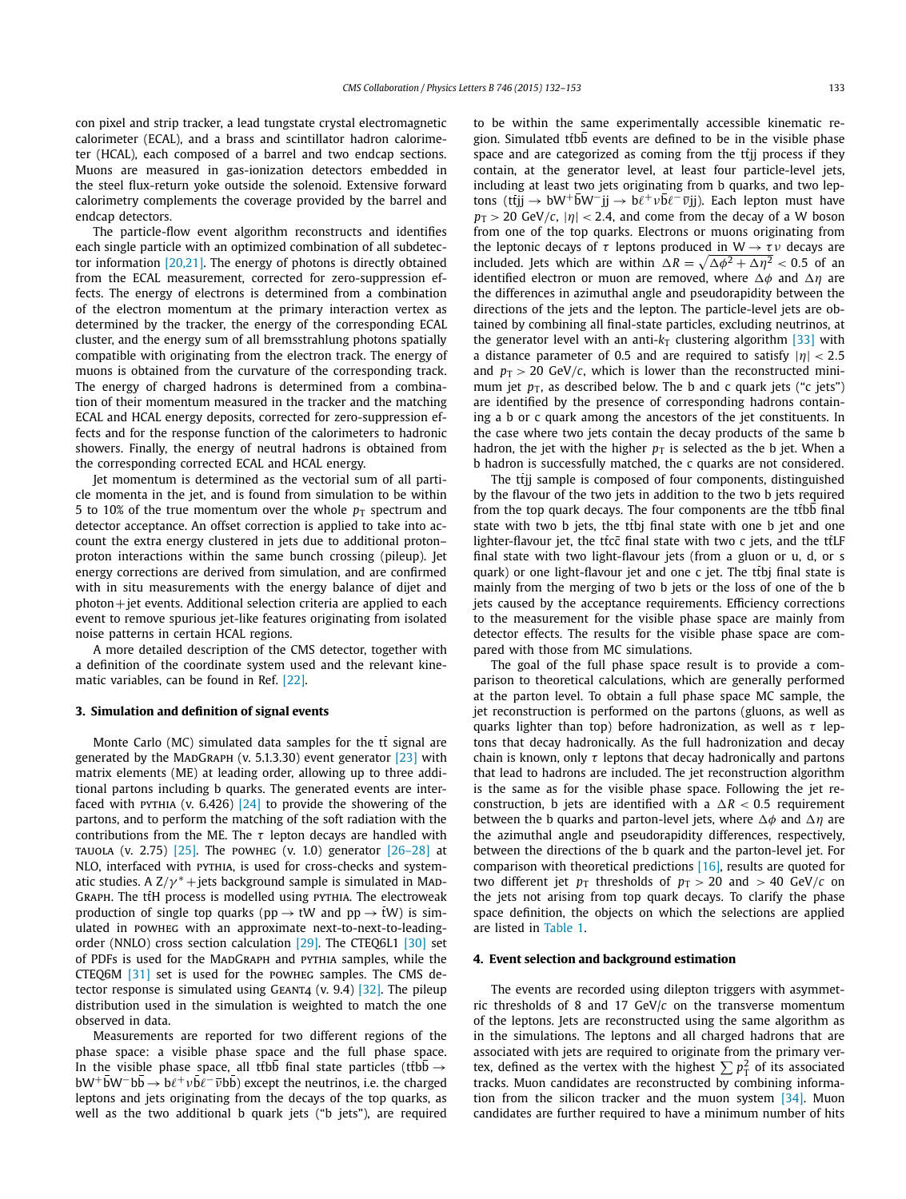con pixel and strip tracker, a lead tungstate crystal electromagnetic calorimeter (ECAL), and a brass and scintillator hadron calorimeter (HCAL), each composed of a barrel and two endcap sections. Muons are measured in gas-ionization detectors embedded in the steel flux-return yoke outside the solenoid. Extensive forward calorimetry complements the coverage provided by the barrel and endcap detectors.

The particle-flow event algorithm reconstructs and identifies each single particle with an optimized combination of all subdetector information [\[20,21\].](#page-6-0) The energy of photons is directly obtained from the ECAL measurement, corrected for zero-suppression effects. The energy of electrons is determined from a combination of the electron momentum at the primary interaction vertex as determined by the tracker, the energy of the corresponding ECAL cluster, and the energy sum of all bremsstrahlung photons spatially compatible with originating from the electron track. The energy of muons is obtained from the curvature of the corresponding track. The energy of charged hadrons is determined from a combination of their momentum measured in the tracker and the matching ECAL and HCAL energy deposits, corrected for zero-suppression effects and for the response function of the calorimeters to hadronic showers. Finally, the energy of neutral hadrons is obtained from the corresponding corrected ECAL and HCAL energy.

Jet momentum is determined as the vectorial sum of all particle momenta in the jet, and is found from simulation to be within 5 to 10% of the true momentum over the whole  $p_T$  spectrum and detector acceptance. An offset correction is applied to take into account the extra energy clustered in jets due to additional proton– proton interactions within the same bunch crossing (pileup). Jet energy corrections are derived from simulation, and are confirmed with in situ measurements with the energy balance of dijet and  $photon+jet$  events. Additional selection criteria are applied to each event to remove spurious jet-like features originating from isolated noise patterns in certain HCAL regions.

A more detailed description of the CMS detector, together with a definition of the coordinate system used and the relevant kinematic variables, can be found in Ref. [\[22\].](#page-6-0)

#### **3. Simulation and definition of signal events**

Monte Carlo (MC) simulated data samples for the tt signal are generated by the MADGRAPH (v. 5.1.3.30) event generator  $[23]$  with matrix elements (ME) at leading order, allowing up to three additional partons including b quarks. The generated events are interfaced with PYTHIA (v.  $6.426$ ) [\[24\]](#page-6-0) to provide the showering of the partons, and to perform the matching of the soft radiation with the contributions from the ME. The  $\tau$  lepton decays are handled with TAUOLA (v. 2.75)  $[25]$ . The powheg (v. 1.0) generator  $[26-28]$  at NLO, interfaced with PYTHIA, is used for cross-checks and systematic studies. A  $Z/\gamma^*$  + jets background sample is simulated in Map-Graph. The ttH process is modelled using pythia. The electroweak production of single top quarks (pp  $\rightarrow$  tW and pp  $\rightarrow$  tW) is simulated in powheg with an approximate next-to-next-to-leadingorder (NNLO) cross section calculation [\[29\].](#page-6-0) The CTEQ6L1 [\[30\]](#page-6-0) set of PDFs is used for the MadGraph and pythia samples, while the CTEQ6M [\[31\]](#page-6-0) set is used for the powheg samples. The CMS detector response is simulated using GEANT4 (v. 9.4)  $\left[32\right]$ . The pileup distribution used in the simulation is weighted to match the one observed in data.

Measurements are reported for two different regions of the phase space: a visible phase space and the full phase space. In the visible phase space, all ttbb final state particles (ttbb  $\rightarrow$ bW+bW−bb → <sup>b</sup>+*ν*b−*ν*bb) except the neutrinos, i.e. the charged leptons and jets originating from the decays of the top quarks, as well as the two additional b quark jets ("b jets"), are required to be within the same experimentally accessible kinematic region. Simulated ttbb events are defined to be in the visible phase space and are categorized as coming from the ttjj process if they contain, at the generator level, at least four particle-level jets, including at least two jets originating from b quarks, and two leptons (ttjj → bW<sup>+</sup>b<sup>W−</sup>jj → b $\ell^+ \nu \overline{b} \ell^- \overline{\nu}$ jj). Each lepton must have  $p_T > 20$  GeV/*c*,  $|\eta| < 2.4$ , and come from the decay of a W boson from one of the top quarks. Electrons or muons originating from the leptonic decays of  $\tau$  leptons produced in  $W \rightarrow \tau \nu$  decays are included. Jets which are within  $\Delta R = \sqrt{\Delta \phi^2 + \Delta \eta^2} < 0.5$  of an identified electron or muon are removed, where  *φ* and  *η* are the differences in azimuthal angle and pseudorapidity between the directions of the jets and the lepton. The particle-level jets are obtained by combining all final-state particles, excluding neutrinos, at the generator level with an anti- $k<sub>T</sub>$  clustering algorithm [\[33\]](#page-6-0) with <sup>a</sup> distance parameter of 0.5 and are required to satisfy |*η*| *<* <sup>2</sup>*.*<sup>5</sup> and  $p_T > 20$  GeV/*c*, which is lower than the reconstructed minimum jet  $p_T$ , as described below. The b and c quark jets ("c jets") are identified by the presence of corresponding hadrons containing a b or c quark among the ancestors of the jet constituents. In the case where two jets contain the decay products of the same b hadron, the jet with the higher  $p<sub>T</sub>$  is selected as the b jet. When a b hadron is successfully matched, the c quarks are not considered.

The ttjj sample is composed of four components, distinguished by the flavour of the two jets in addition to the two b jets required from the top quark decays. The four components are the ttbb final state with two b jets, the ttbj final state with one b jet and one lighter-flavour jet, the ttcc final state with two c jets, and the ttLF final state with two light-flavour jets (from a gluon or u, d, or s quark) or one light-flavour jet and one c jet. The ttbj final state is mainly from the merging of two b jets or the loss of one of the b jets caused by the acceptance requirements. Efficiency corrections to the measurement for the visible phase space are mainly from detector effects. The results for the visible phase space are compared with those from MC simulations.

The goal of the full phase space result is to provide a comparison to theoretical calculations, which are generally performed at the parton level. To obtain a full phase space MC sample, the jet reconstruction is performed on the partons (gluons, as well as quarks lighter than top) before hadronization, as well as *τ* leptons that decay hadronically. As the full hadronization and decay chain is known, only *τ* leptons that decay hadronically and partons that lead to hadrons are included. The jet reconstruction algorithm is the same as for the visible phase space. Following the jet reconstruction, b jets are identified with a  $\Delta R < 0.5$  requirement between the b quarks and parton-level jets, where  *φ* and  *η* are the azimuthal angle and pseudorapidity differences, respectively, between the directions of the b quark and the parton-level jet. For comparison with theoretical predictions [\[16\],](#page-6-0) results are quoted for two different jet  $p<sub>T</sub>$  thresholds of  $p<sub>T</sub> > 20$  and  $> 40$  GeV/*c* on the jets not arising from top quark decays. To clarify the phase space definition, the objects on which the selections are applied are listed in [Table 1.](#page-2-0)

#### **4. Event selection and background estimation**

The events are recorded using dilepton triggers with asymmetric thresholds of 8 and 17 GeV/*c* on the transverse momentum of the leptons. Jets are reconstructed using the same algorithm as in the simulations. The leptons and all charged hadrons that are associated with jets are required to originate from the primary vertex, defined as the vertex with the highest  $\sum p_{\rm T}^2$  of its associated tracks. Muon candidates are reconstructed by combining information from the silicon tracker and the muon system [\[34\].](#page-6-0) Muon candidates are further required to have a minimum number of hits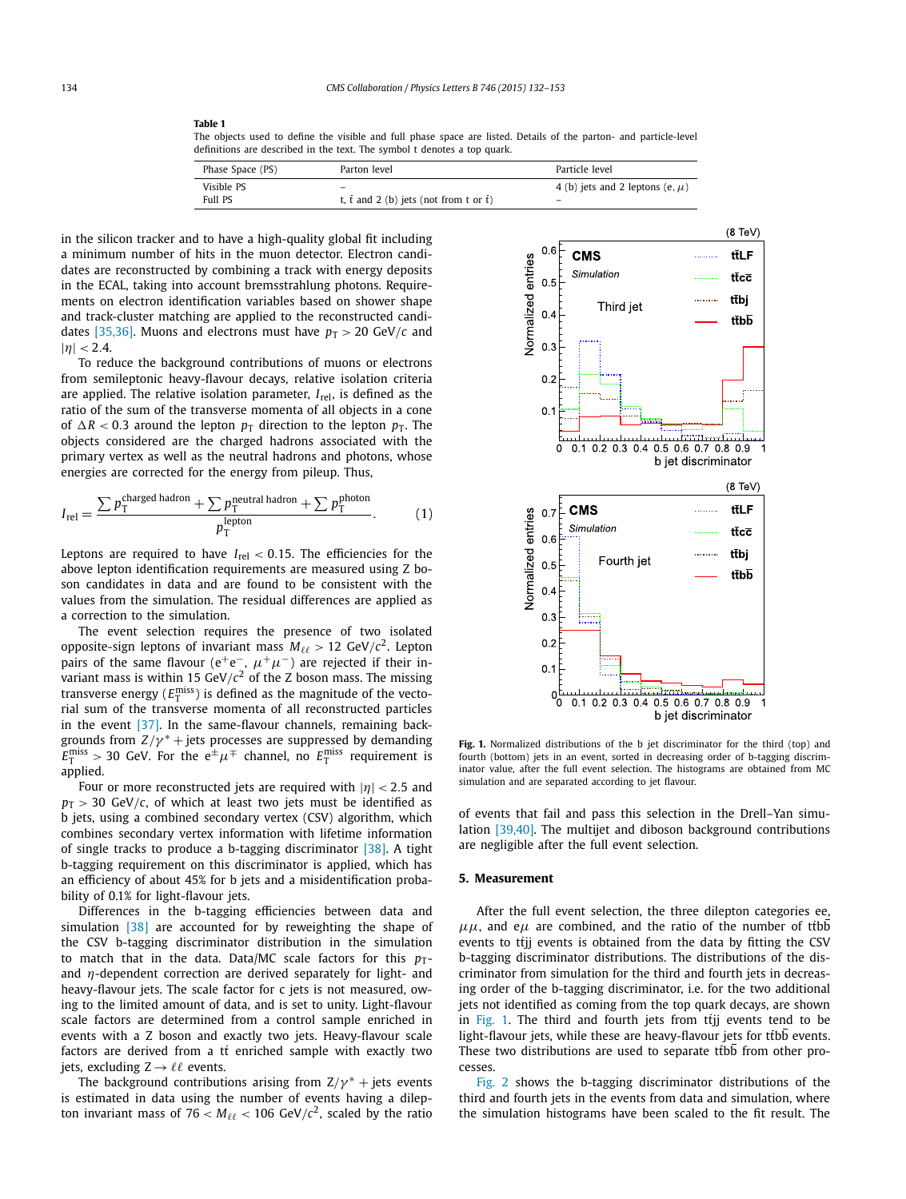#### <span id="page-2-0"></span>**Table 1**

The objects used to define the visible and full phase space are listed. Details of the parton- and particle-level definitions are described in the text. The symbol t denotes a top quark.

| Phase Space (PS) | Parton level                           | Particle level                       |
|------------------|----------------------------------------|--------------------------------------|
| Visible PS       | -                                      | 4 (b) jets and 2 leptons (e, $\mu$ ) |
| Full PS          | t, t and $2(b)$ jets (not from t or t) |                                      |

in the silicon tracker and to have a high-quality global fit including a minimum number of hits in the muon detector. Electron candidates are reconstructed by combining a track with energy deposits in the ECAL, taking into account bremsstrahlung photons. Requirements on electron identification variables based on shower shape and track-cluster matching are applied to the reconstructed candi-dates [\[35,36\].](#page-6-0) Muons and electrons must have  $p<sub>T</sub> > 20$  GeV/*c* and  $| \eta |$  < 2.4.

To reduce the background contributions of muons or electrons from semileptonic heavy-flavour decays, relative isolation criteria are applied. The relative isolation parameter,  $I_{rel}$ , is defined as the ratio of the sum of the transverse momenta of all objects in a cone of  $\Delta R < 0.3$  around the lepton  $p_{\rm T}$  direction to the lepton  $p_{\rm T}$ . The objects considered are the charged hadrons associated with the primary vertex as well as the neutral hadrons and photons, whose energies are corrected for the energy from pileup. Thus,

$$
I_{\rm rel} = \frac{\sum p_{\rm T}^{\rm charged \, hadron} + \sum p_{\rm T}^{\rm neutral \, hadron} + \sum p_{\rm T}^{\rm photon}}{p_{\rm T}^{\rm lepton}}.\tag{1}
$$

Leptons are required to have  $I_{rel}$  < 0.15. The efficiencies for the above lepton identification requirements are measured using Z boson candidates in data and are found to be consistent with the values from the simulation. The residual differences are applied as a correction to the simulation.

The event selection requires the presence of two isolated opposite-sign leptons of invariant mass  $M_{\ell\ell} > 12$  GeV/ $c^2$ . Lepton pairs of the same flavour (e+e−, *μ*+*μ*<sup>−</sup>) are rejected if their invariant mass is within 15 GeV*/c*<sup>2</sup> of the Z boson mass. The missing transverse energy ( $E_{\rm T}^{\rm miss}$ ) is defined as the magnitude of the vectorial sum of the transverse momenta of all reconstructed particles in the event [\[37\].](#page-6-0) In the same-flavour channels, remaining backgrounds from  $Z/\gamma^*$  + jets processes are suppressed by demanding  $E_{\text{T}}^{\text{miss}} > 30$  GeV. For the  $\mathrm{e}^{\pm}\mu^{\mp}$  channel, no  $E_{\text{T}}^{\text{miss}}$  requirement is applied.

Four or more reconstructed jets are required with |*η*| *<* <sup>2</sup>*.*5 and  $p_T > 30$  GeV/*c*, of which at least two jets must be identified as b jets, using a combined secondary vertex (CSV) algorithm, which combines secondary vertex information with lifetime information of single tracks to produce a b-tagging discriminator [\[38\].](#page-6-0) A tight b-tagging requirement on this discriminator is applied, which has an efficiency of about 45% for b jets and a misidentification probability of 0.1% for light-flavour jets.

Differences in the b-tagging efficiencies between data and simulation [\[38\]](#page-6-0) are accounted for by reweighting the shape of the CSV b-tagging discriminator distribution in the simulation to match that in the data. Data/MC scale factors for this  $p_T$ and *η*-dependent correction are derived separately for light- and heavy-flavour jets. The scale factor for c jets is not measured, owing to the limited amount of data, and is set to unity. Light-flavour scale factors are determined from a control sample enriched in events with a Z boson and exactly two jets. Heavy-flavour scale factors are derived from a tt enriched sample with exactly two jets, excluding  $Z \rightarrow \ell \ell$  events.

The background contributions arising from  $Z/\gamma^*$  + jets events is estimated in data using the number of events having a dilepton invariant mass of 76  $< M_{\ell\ell} < 106$  GeV/ $c^2$ , scaled by the ratio



**Fig. 1.** Normalized distributions of the b jet discriminator for the third (top) and fourth (bottom) jets in an event, sorted in decreasing order of b-tagging discriminator value, after the full event selection. The histograms are obtained from MC simulation and are separated according to jet flavour.

of events that fail and pass this selection in the Drell–Yan simulation [\[39,40\].](#page-6-0) The multijet and diboson background contributions are negligible after the full event selection.

#### **5. Measurement**

After the full event selection, the three dilepton categories ee,  $\mu\mu$ , and e $\mu$  are combined, and the ratio of the number of ttbb events to ttjj events is obtained from the data by fitting the CSV b-tagging discriminator distributions. The distributions of the discriminator from simulation for the third and fourth jets in decreasing order of the b-tagging discriminator, i.e. for the two additional jets not identified as coming from the top quark decays, are shown in Fig. 1. The third and fourth jets from ttjj events tend to be light-flavour jets, while these are heavy-flavour jets for ttbb events. These two distributions are used to separate ttbb from other processes.

[Fig. 2](#page-3-0) shows the b-tagging discriminator distributions of the third and fourth jets in the events from data and simulation, where the simulation histograms have been scaled to the fit result. The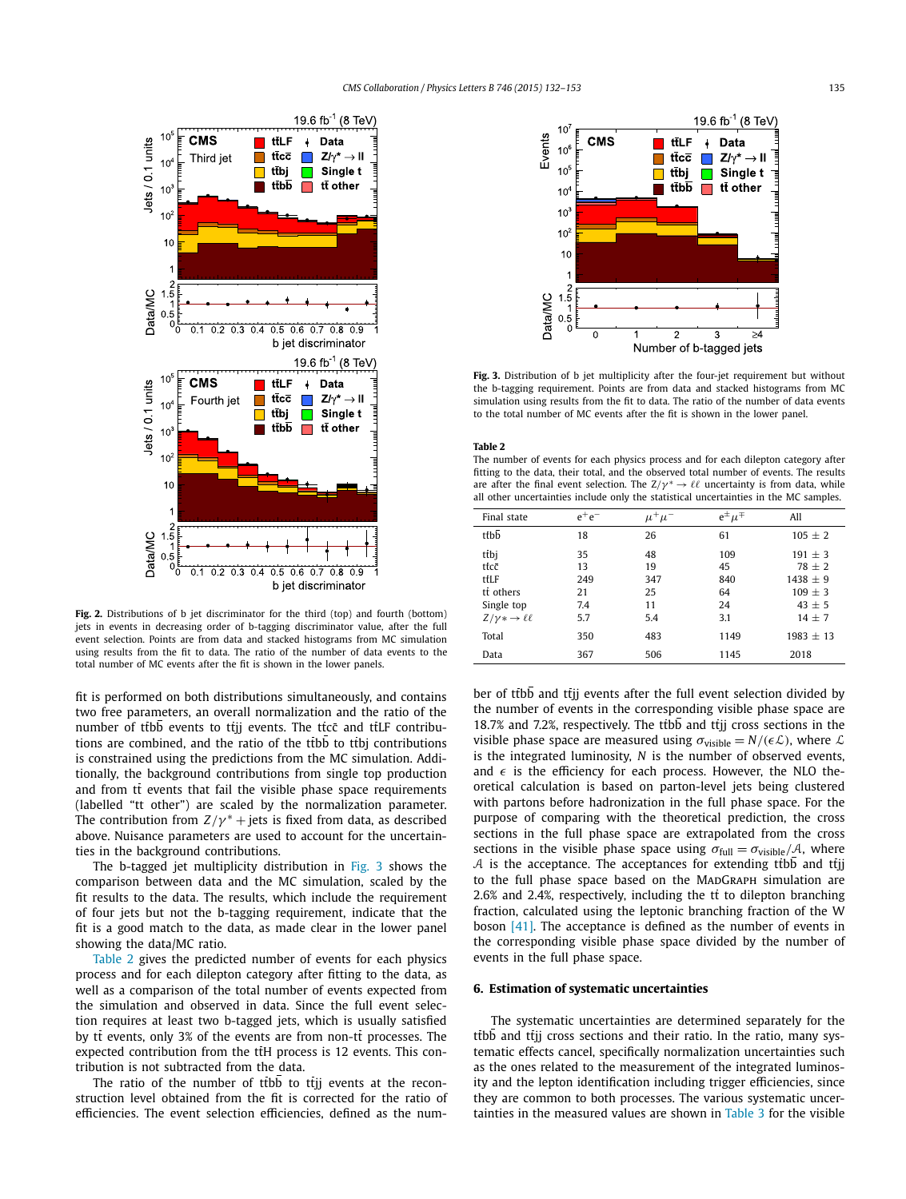<span id="page-3-0"></span>

**Fig. 2.** Distributions of b jet discriminator for the third (top) and fourth (bottom) jets in events in decreasing order of b-tagging discriminator value, after the full event selection. Points are from data and stacked histograms from MC simulation using results from the fit to data. The ratio of the number of data events to the total number of MC events after the fit is shown in the lower panels.

fit is performed on both distributions simultaneously, and contains two free parameters, an overall normalization and the ratio of the number of ttbb events to ttjj events. The ttcc and ttLF contributions are combined, and the ratio of the ttbb to ttbj contributions is constrained using the predictions from the MC simulation. Additionally, the background contributions from single top production and from tt events that fail the visible phase space requirements (labelled "tt other") are scaled by the normalization parameter. The contribution from  $Z/\gamma^*$  + jets is fixed from data, as described above. Nuisance parameters are used to account for the uncertainties in the background contributions.

The b-tagged jet multiplicity distribution in Fig. 3 shows the comparison between data and the MC simulation, scaled by the fit results to the data. The results, which include the requirement of four jets but not the b-tagging requirement, indicate that the fit is a good match to the data, as made clear in the lower panel showing the data/MC ratio.

Table 2 gives the predicted number of events for each physics process and for each dilepton category after fitting to the data, as well as a comparison of the total number of events expected from the simulation and observed in data. Since the full event selection requires at least two b-tagged jets, which is usually satisfied by tt events, only 3% of the events are from non-tt processes. The expected contribution from the ttH process is 12 events. This contribution is not subtracted from the data.

The ratio of the number of ttbb to ttjj events at the reconstruction level obtained from the fit is corrected for the ratio of efficiencies. The event selection efficiencies, defined as the num-



Fig. 3. Distribution of b jet multiplicity after the four-jet requirement but without the b-tagging requirement. Points are from data and stacked histograms from MC simulation using results from the fit to data. The ratio of the number of data events to the total number of MC events after the fit is shown in the lower panel.

#### **Table 2**

The number of events for each physics process and for each dilepton category after fitting to the data, their total, and the observed total number of events. The results are after the final event selection. The  $Z/\gamma^* \to \ell \ell$  uncertainty is from data, while all other uncertainties include only the statistical uncertainties in the MC samples.

| Final state                       | $e^+e^-$ | $\mu^+\mu^-$ | $e^{\pm} \mu^{\mp}$ | All           |
|-----------------------------------|----------|--------------|---------------------|---------------|
| ttbb                              | 18       | 26           | 61                  | $105 \pm 2$   |
| ttbj                              | 35       | 48           | 109                 | $191 \pm 3$   |
| ttcc                              | 13       | 19           | 45                  | $78 \pm 2$    |
| ttLF                              | 249      | 347          | 840                 | $1438 \pm 9$  |
| tt others                         | 21       | 25           | 64                  | $109 + 3$     |
| Single top                        | 7.4      | 11           | 24                  | $43 + 5$      |
| $Z/\gamma * \rightarrow \ell\ell$ | 5.7      | 5.4          | 3.1                 | $14 + 7$      |
| Total                             | 350      | 483          | 1149                | $1983 \pm 13$ |
| Data                              | 367      | 506          | 1145                | 2018          |

ber of ttbb and ttjj events after the full event selection divided by the number of events in the corresponding visible phase space are 18.7% and 7.2%, respectively. The ttbb and ttjj cross sections in the visible phase space are measured using  $\sigma_{visible} = N/(\epsilon \mathcal{L})$ , where  $\mathcal{L}$ is the integrated luminosity, *N* is the number of observed events, and  $\epsilon$  is the efficiency for each process. However, the NLO theoretical calculation is based on parton-level jets being clustered with partons before hadronization in the full phase space. For the purpose of comparing with the theoretical prediction, the cross sections in the full phase space are extrapolated from the cross sections in the visible phase space using  $\sigma_{\text{full}} = \sigma_{\text{visible}} / A$ , where  $A$  is the acceptance. The acceptances for extending ttbb and ttjj to the full phase space based on the MADGRAPH simulation are 2.6% and 2.4%, respectively, including the tt to dilepton branching fraction, calculated using the leptonic branching fraction of the W boson [\[41\].](#page-6-0) The acceptance is defined as the number of events in the corresponding visible phase space divided by the number of events in the full phase space.

#### **6. Estimation of systematic uncertainties**

The systematic uncertainties are determined separately for the ttbb and ttjj cross sections and their ratio. In the ratio, many systematic effects cancel, specifically normalization uncertainties such as the ones related to the measurement of the integrated luminosity and the lepton identification including trigger efficiencies, since they are common to both processes. The various systematic uncertainties in the measured values are shown in [Table 3](#page-4-0) for the visible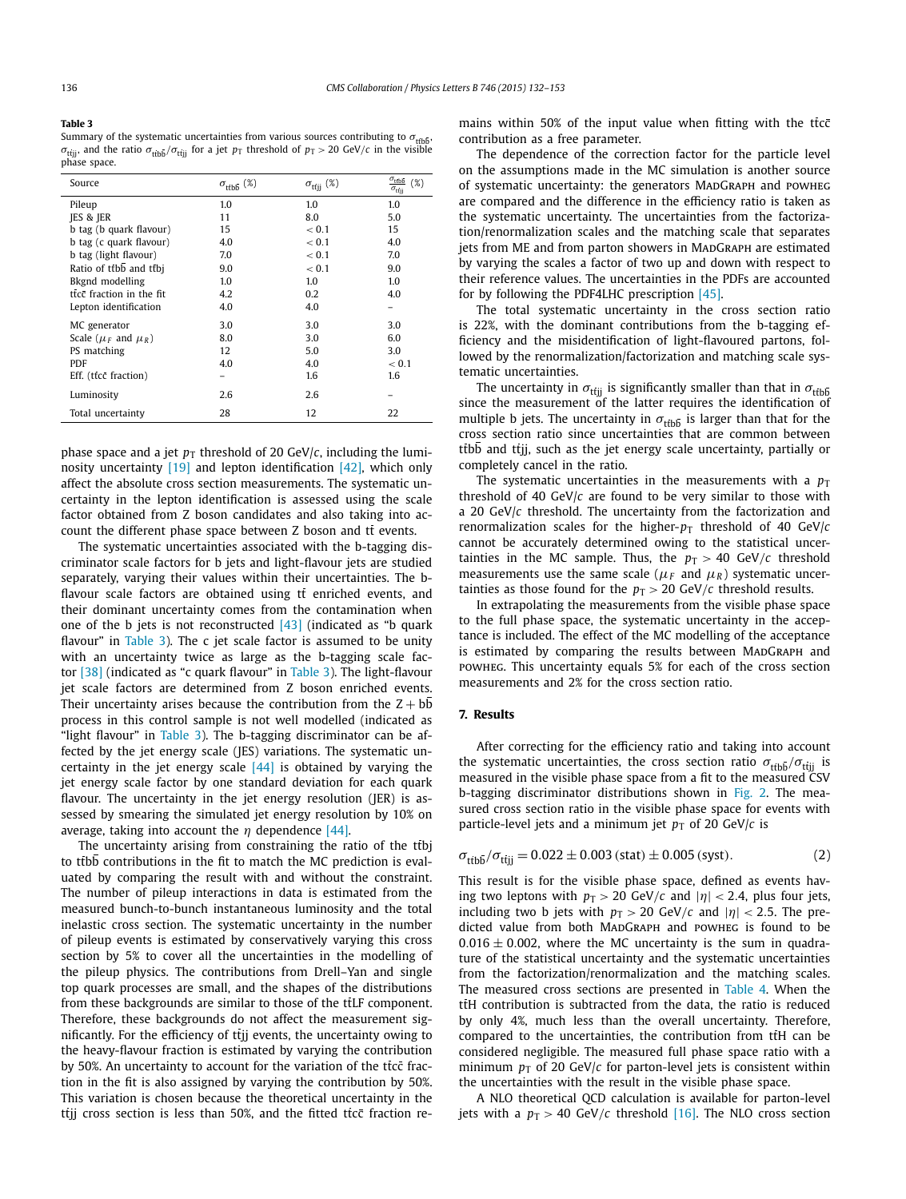#### <span id="page-4-0"></span>**Table 3**

Summary of the systematic uncertainties from various sources contributing to  $\sigma_{\text{tribb}}$ , *σ*<sub>ttij</sub>, and the ratio  $σ$ <sub>ttbb</sub>/ $σ$ <sub>ttij</sub> for a jet  $p$ <sub>T</sub> threshold of  $p$ <sub>T</sub> > 20 GeV/*c* in the visible phase space.

| Source                        | $\sigma_{\text{ttbh}}$ (%) | $\sigma_{\rm{tij}}$ (%) | $\sigma_{\rm{ttbb}}$<br>(%)<br>$\overline{\sigma}_{\rm{tij}}$ |
|-------------------------------|----------------------------|-------------------------|---------------------------------------------------------------|
| Pileup                        | 1.0                        | 1.0                     | 1.0                                                           |
| JES & JER                     | 11                         | 8.0                     | 5.0                                                           |
| b tag (b quark flavour)       | 15                         | < 0.1                   | 15                                                            |
| b tag (c quark flavour)       | 4.0                        | < 0.1                   | 4.0                                                           |
| b tag (light flavour)         | 7.0                        | < 0.1                   | 7.0                                                           |
| Ratio of ttbb and ttbi        | 9.0                        | < 0.1                   | 9.0                                                           |
| Bkgnd modelling               | 1.0                        | 1.0                     | 1.0                                                           |
| ttcc fraction in the fit      | 4.2                        | 0.2                     | 4.0                                                           |
| Lepton identification         | 4.0                        | 4.0                     |                                                               |
| MC generator                  | 3.0                        | 3.0                     | 3.0                                                           |
| Scale ( $\mu_F$ and $\mu_R$ ) | 8.0                        | 3.0                     | 6.0                                                           |
| PS matching                   | 12                         | 5.0                     | 3.0                                                           |
| <b>PDF</b>                    | 4.0                        | 4.0                     | < 0.1                                                         |
| Eff. (ttcc fraction)          |                            | 1.6                     | 1.6                                                           |
| Luminosity                    | 2.6                        | 2.6                     |                                                               |
| Total uncertainty             | 28                         | 12                      | 22                                                            |

phase space and a jet  $p_T$  threshold of 20 GeV/ $c$ , including the luminosity uncertainty [\[19\]](#page-6-0) and lepton identification [\[42\],](#page-6-0) which only affect the absolute cross section measurements. The systematic uncertainty in the lepton identification is assessed using the scale factor obtained from Z boson candidates and also taking into account the different phase space between Z boson and tt events.

The systematic uncertainties associated with the b-tagging discriminator scale factors for b jets and light-flavour jets are studied separately, varying their values within their uncertainties. The bflavour scale factors are obtained using tt enriched events, and their dominant uncertainty comes from the contamination when one of the b jets is not reconstructed  $[43]$  (indicated as "b quark flavour" in Table 3). The c jet scale factor is assumed to be unity with an uncertainty twice as large as the b-tagging scale factor [\[38\]](#page-6-0) (indicated as "c quark flavour" in Table 3). The light-flavour jet scale factors are determined from Z boson enriched events. Their uncertainty arises because the contribution from the  $Z + bb$ process in this control sample is not well modelled (indicated as "light flavour" in Table 3). The b-tagging discriminator can be affected by the jet energy scale (JES) variations. The systematic uncertainty in the jet energy scale [\[44\]](#page-6-0) is obtained by varying the jet energy scale factor by one standard deviation for each quark flavour. The uncertainty in the jet energy resolution (JER) is assessed by smearing the simulated jet energy resolution by 10% on average, taking into account the  $\eta$  dependence [\[44\].](#page-6-0)

The uncertainty arising from constraining the ratio of the ttbj to ttbb contributions in the fit to match the MC prediction is evaluated by comparing the result with and without the constraint. The number of pileup interactions in data is estimated from the measured bunch-to-bunch instantaneous luminosity and the total inelastic cross section. The systematic uncertainty in the number of pileup events is estimated by conservatively varying this cross section by 5% to cover all the uncertainties in the modelling of the pileup physics. The contributions from Drell–Yan and single top quark processes are small, and the shapes of the distributions from these backgrounds are similar to those of the ttLF component. Therefore, these backgrounds do not affect the measurement significantly. For the efficiency of ttjj events, the uncertainty owing to the heavy-flavour fraction is estimated by varying the contribution by 50%. An uncertainty to account for the variation of the ttcc fraction in the fit is also assigned by varying the contribution by 50%. This variation is chosen because the theoretical uncertainty in the ttjj cross section is less than 50%, and the fitted ttcc fraction remains within 50% of the input value when fitting with the ttcc contribution as a free parameter.

The dependence of the correction factor for the particle level on the assumptions made in the MC simulation is another source of systematic uncertainty: the generators MADGRAPH and POWHEG are compared and the difference in the efficiency ratio is taken as the systematic uncertainty. The uncertainties from the factorization/renormalization scales and the matching scale that separates jets from ME and from parton showers in MADGRAPH are estimated by varying the scales a factor of two up and down with respect to their reference values. The uncertainties in the PDFs are accounted for by following the PDF4LHC prescription [\[45\].](#page-6-0)

The total systematic uncertainty in the cross section ratio is 22%, with the dominant contributions from the b-tagging efficiency and the misidentification of light-flavoured partons, followed by the renormalization/factorization and matching scale systematic uncertainties.

The uncertainty in  $\sigma_{\text{ttii}}$  is significantly smaller than that in  $\sigma_{\text{ttb}\bar{\text{b}}}$ since the measurement of the latter requires the identification of multiple b jets. The uncertainty in  $\sigma_{\text{ttbb}}$  is larger than that for the cross section ratio since uncertainties that are common between ttbb and ttjj, such as the jet energy scale uncertainty, partially or completely cancel in the ratio.

The systematic uncertainties in the measurements with a  $p_T$ threshold of 40 GeV/*c* are found to be very similar to those with a 20 GeV/*c* threshold. The uncertainty from the factorization and renormalization scales for the higher- $p_T$  threshold of 40 GeV/ $c$ cannot be accurately determined owing to the statistical uncertainties in the MC sample. Thus, the  $p_T > 40$  GeV/*c* threshold measurements use the same scale ( $\mu_F$  and  $\mu_R$ ) systematic uncertainties as those found for the  $p_T > 20$  GeV/*c* threshold results.

In extrapolating the measurements from the visible phase space to the full phase space, the systematic uncertainty in the acceptance is included. The effect of the MC modelling of the acceptance is estimated by comparing the results between MADGRAPH and powheg. This uncertainty equals 5% for each of the cross section measurements and 2% for the cross section ratio.

#### **7. Results**

After correcting for the efficiency ratio and taking into account the systematic uncertainties, the cross section ratio  $\sigma_{\text{trib}}/\sigma_{\text{trij}}$  is measured in the visible phase space from a fit to the measured CSV b-tagging discriminator distributions shown in [Fig. 2.](#page-3-0) The measured cross section ratio in the visible phase space for events with particle-level jets and a minimum jet  $p<sub>T</sub>$  of 20 GeV/*c* is

$$
\sigma_{ttbb}/\sigma_{ttjj} = 0.022 \pm 0.003 \text{ (stat)} \pm 0.005 \text{ (syst)}.
$$
 (2)

This result is for the visible phase space, defined as events having two leptons with  $p_T > 20$  GeV/*c* and  $|\eta| < 2.4$ , plus four jets, including two b jets with  $p_T > 20$  GeV/*c* and  $|\eta| < 2.5$ . The predicted value from both MADGRAPH and POWHEG is found to be  $0.016 \pm 0.002$ , where the MC uncertainty is the sum in quadrature of the statistical uncertainty and the systematic uncertainties from the factorization/renormalization and the matching scales. The measured cross sections are presented in [Table 4.](#page-5-0) When the ttH contribution is subtracted from the data, the ratio is reduced by only 4%, much less than the overall uncertainty. Therefore, compared to the uncertainties, the contribution from ttH can be considered negligible. The measured full phase space ratio with a minimum  $p_T$  of 20 GeV/ $c$  for parton-level jets is consistent within the uncertainties with the result in the visible phase space.

A NLO theoretical QCD calculation is available for parton-level jets with a  $p_T > 40$  GeV/*c* threshold [\[16\].](#page-6-0) The NLO cross section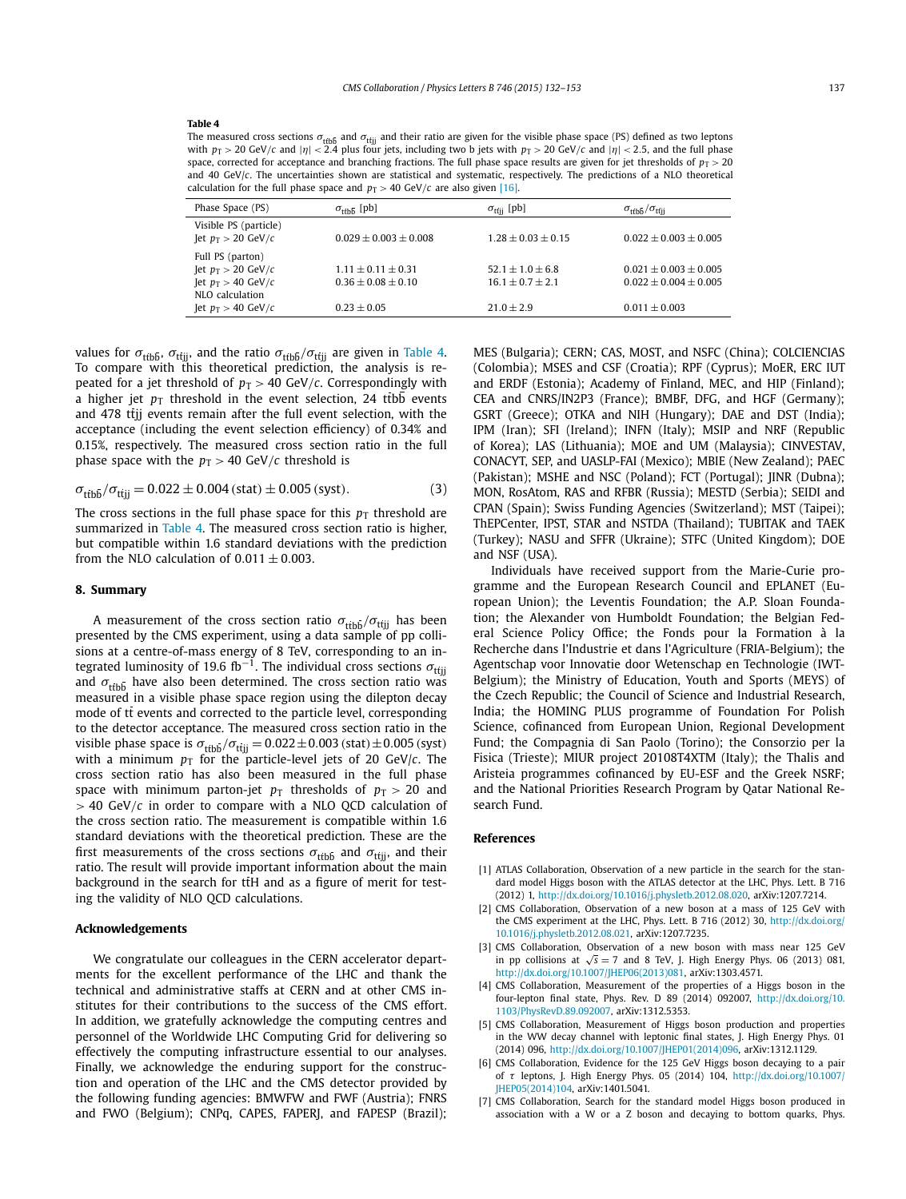#### <span id="page-5-0"></span>**Table 4**

The measured cross sections  $\sigma_{\text{ttbb}}$  and  $\sigma_{\text{ttij}}$  and their ratio are given for the visible phase space (PS) defined as two leptons with  $p_T > 20$  GeV/*c* and  $|\eta| < 2.4$  plus four jets, including two b jets with  $p_T > 20$  GeV/*c* and  $|\eta| < 2.5$ , and the full phase space, corrected for acceptance and branching fractions. The full phase space results are given for jet thresholds of  $p_T > 20$ and 40 GeV/*c*. The uncertainties shown are statistical and systematic, respectively. The predictions of a NLO theoretical calculation for the full phase space and  $p_T > 40$  GeV/*c* are also given [\[16\].](#page-6-0)

| Phase Space (PS)<br>$\sigma_{\text{trbb}}$ [pb]                                                                                                                              | $\sigma_{\text{tiii}}$ [pb]                              | $\sigma_{\text{ttbb}}/\sigma_{\text{ttii}}$                           |
|------------------------------------------------------------------------------------------------------------------------------------------------------------------------------|----------------------------------------------------------|-----------------------------------------------------------------------|
| Visible PS (particle)<br>$let p_T > 20 GeV/c$                                                                                                                                | $0.029 + 0.003 + 0.008$<br>$1.28 + 0.03 + 0.15$          | $0.022 + 0.003 + 0.005$                                               |
| Full PS (parton)<br>$let p_T > 20 GeV/c$<br>$1.11 + 0.11 + 0.31$<br>$let p_T > 40 GeV/c$<br>$0.36 + 0.08 + 0.10$<br>NLO calculation<br>Jet $p_T > 40$ GeV/c<br>$0.23 + 0.05$ | $52.1 + 1.0 + 6.8$<br>$16.1 + 0.7 + 2.1$<br>$21.0 + 2.9$ | $0.021 + 0.003 + 0.005$<br>$0.022 + 0.004 + 0.005$<br>$0.011 + 0.003$ |

values for  $\sigma_{ttbb}$ ,  $\sigma_{ttjj}$ , and the ratio  $\sigma_{ttbb}$  / $\sigma_{ttjj}$  are given in Table 4. To compare with this theoretical prediction, the analysis is repeated for a jet threshold of  $p<sub>T</sub> > 40$  GeV/*c*. Correspondingly with a higher jet  $p<sub>T</sub>$  threshold in the event selection, 24 ttbb events and 478 ttjj events remain after the full event selection, with the acceptance (including the event selection efficiency) of 0.34% and 0.15%, respectively. The measured cross section ratio in the full phase space with the  $p_T > 40$  GeV/*c* threshold is

$$
\sigma_{\text{ttbb}} / \sigma_{\text{tijj}} = 0.022 \pm 0.004 \, \text{(stat)} \pm 0.005 \, \text{(syst)}.\tag{3}
$$

The cross sections in the full phase space for this  $p<sub>T</sub>$  threshold are summarized in Table 4. The measured cross section ratio is higher, but compatible within 1.6 standard deviations with the prediction from the NLO calculation of  $0.011 \pm 0.003$ .

#### **8. Summary**

A measurement of the cross section ratio  $\sigma_{\text{ttbb}}/\sigma_{\text{ttij}}$  has been presented by the CMS experiment, using a data sample of pp collisions at a centre-of-mass energy of 8 TeV, corresponding to an integrated luminosity of 19.6 fb<sup>-1</sup>. The individual cross sections  $\sigma_{\text{ttjj}}$ and  $\sigma_{\text{trb} \bar{\text{b}}}$  have also been determined. The cross section ratio was measured in a visible phase space region using the dilepton decay mode of tt events and corrected to the particle level, corresponding to the detector acceptance. The measured cross section ratio in the visible phase space is  $\sigma_{\text{ttbb}}/\sigma_{\text{ttjj}} = 0.022 \pm 0.003$  *(stat)* $\pm 0.005$  *(syst)* with a minimum  $p_T$  for the particle-level jets of 20 GeV/*c*. The cross section ratio has also been measured in the full phase space with minimum parton-jet  $p_T$  thresholds of  $p_T > 20$  and *>* 40 GeV*/c* in order to compare with a NLO QCD calculation of the cross section ratio. The measurement is compatible within 1.6 standard deviations with the theoretical prediction. These are the first measurements of the cross sections  $\sigma_{\text{ttbb}}$  and  $\sigma_{\text{ttji}}$ , and their ratio. The result will provide important information about the main background in the search for ttH and as a figure of merit for testing the validity of NLO QCD calculations.

#### **Acknowledgements**

We congratulate our colleagues in the CERN accelerator departments for the excellent performance of the LHC and thank the technical and administrative staffs at CERN and at other CMS institutes for their contributions to the success of the CMS effort. In addition, we gratefully acknowledge the computing centres and personnel of the Worldwide LHC Computing Grid for delivering so effectively the computing infrastructure essential to our analyses. Finally, we acknowledge the enduring support for the construction and operation of the LHC and the CMS detector provided by the following funding agencies: BMWFW and FWF (Austria); FNRS and FWO (Belgium); CNPq, CAPES, FAPERJ, and FAPESP (Brazil); MES (Bulgaria); CERN; CAS, MOST, and NSFC (China); COLCIENCIAS (Colombia); MSES and CSF (Croatia); RPF (Cyprus); MoER, ERC IUT and ERDF (Estonia); Academy of Finland, MEC, and HIP (Finland); CEA and CNRS/IN2P3 (France); BMBF, DFG, and HGF (Germany); GSRT (Greece); OTKA and NIH (Hungary); DAE and DST (India); IPM (Iran); SFI (Ireland); INFN (Italy); MSIP and NRF (Republic of Korea); LAS (Lithuania); MOE and UM (Malaysia); CINVESTAV, CONACYT, SEP, and UASLP-FAI (Mexico); MBIE (New Zealand); PAEC (Pakistan); MSHE and NSC (Poland); FCT (Portugal); JINR (Dubna); MON, RosAtom, RAS and RFBR (Russia); MESTD (Serbia); SEIDI and CPAN (Spain); Swiss Funding Agencies (Switzerland); MST (Taipei); ThEPCenter, IPST, STAR and NSTDA (Thailand); TUBITAK and TAEK (Turkey); NASU and SFFR (Ukraine); STFC (United Kingdom); DOE and NSF (USA).

Individuals have received support from the Marie-Curie programme and the European Research Council and EPLANET (European Union); the Leventis Foundation; the A.P. Sloan Foundation; the Alexander von Humboldt Foundation; the Belgian Federal Science Policy Office; the Fonds pour la Formation à la Recherche dans l'Industrie et dans l'Agriculture (FRIA-Belgium); the Agentschap voor Innovatie door Wetenschap en Technologie (IWT-Belgium); the Ministry of Education, Youth and Sports (MEYS) of the Czech Republic; the Council of Science and Industrial Research, India; the HOMING PLUS programme of Foundation For Polish Science, cofinanced from European Union, Regional Development Fund; the Compagnia di San Paolo (Torino); the Consorzio per la Fisica (Trieste); MIUR project 20108T4XTM (Italy); the Thalis and Aristeia programmes cofinanced by EU-ESF and the Greek NSRF; and the National Priorities Research Program by Qatar National Research Fund.

#### **References**

- [1] ATLAS Collaboration, Observation of a new particle in the search for the standard model Higgs boson with the ATLAS detector at the LHC, Phys. Lett. B 716 (2012) 1, [http://dx.doi.org/10.1016/j.physletb.2012.08.020,](http://dx.doi.org/10.1016/j.physletb.2012.08.020) arXiv:1207.7214.
- [2] CMS Collaboration, Observation of a new boson at a mass of 125 GeV with the CMS experiment at the LHC, Phys. Lett. B 716 (2012) 30, [http://dx.doi.org/](http://dx.doi.org/10.1016/j.physletb.2012.08.021) [10.1016/j.physletb.2012.08.021,](http://dx.doi.org/10.1016/j.physletb.2012.08.021) arXiv:1207.7235.
- [3] CMS Collaboration, Observation of a new boson with mass near 125 GeV in pp collisions at  $\sqrt{s}$  = 7 and 8 TeV, J. High Energy Phys. 06 (2013) 081, [http://dx.doi.org/10.1007/JHEP06\(2013\)081,](http://dx.doi.org/10.1007/JHEP06(2013)081) arXiv:1303.4571.
- [4] CMS Collaboration, Measurement of the properties of a Higgs boson in the four-lepton final state, Phys. Rev. D 89 (2014) 092007, [http://dx.doi.org/10.](http://dx.doi.org/10.1103/PhysRevD.89.092007) [1103/PhysRevD.89.092007](http://dx.doi.org/10.1103/PhysRevD.89.092007), arXiv:1312.5353.
- [5] CMS Collaboration, Measurement of Higgs boson production and properties in the WW decay channel with leptonic final states, J. High Energy Phys. 01 (2014) 096, [http://dx.doi.org/10.1007/JHEP01\(2014\)096,](http://dx.doi.org/10.1007/JHEP01(2014)096) arXiv:1312.1129.
- [6] CMS Collaboration, Evidence for the 125 GeV Higgs boson decaying to a pair of *τ* leptons, J. High Energy Phys. 05 (2014) 104, [http://dx.doi.org/10.1007/](http://dx.doi.org/10.1007/JHEP05(2014)104) [JHEP05\(2014\)104](http://dx.doi.org/10.1007/JHEP05(2014)104), arXiv:1401.5041.
- [7] CMS Collaboration, Search for the standard model Higgs boson produced in association with a W or a Z boson and decaying to bottom quarks, Phys.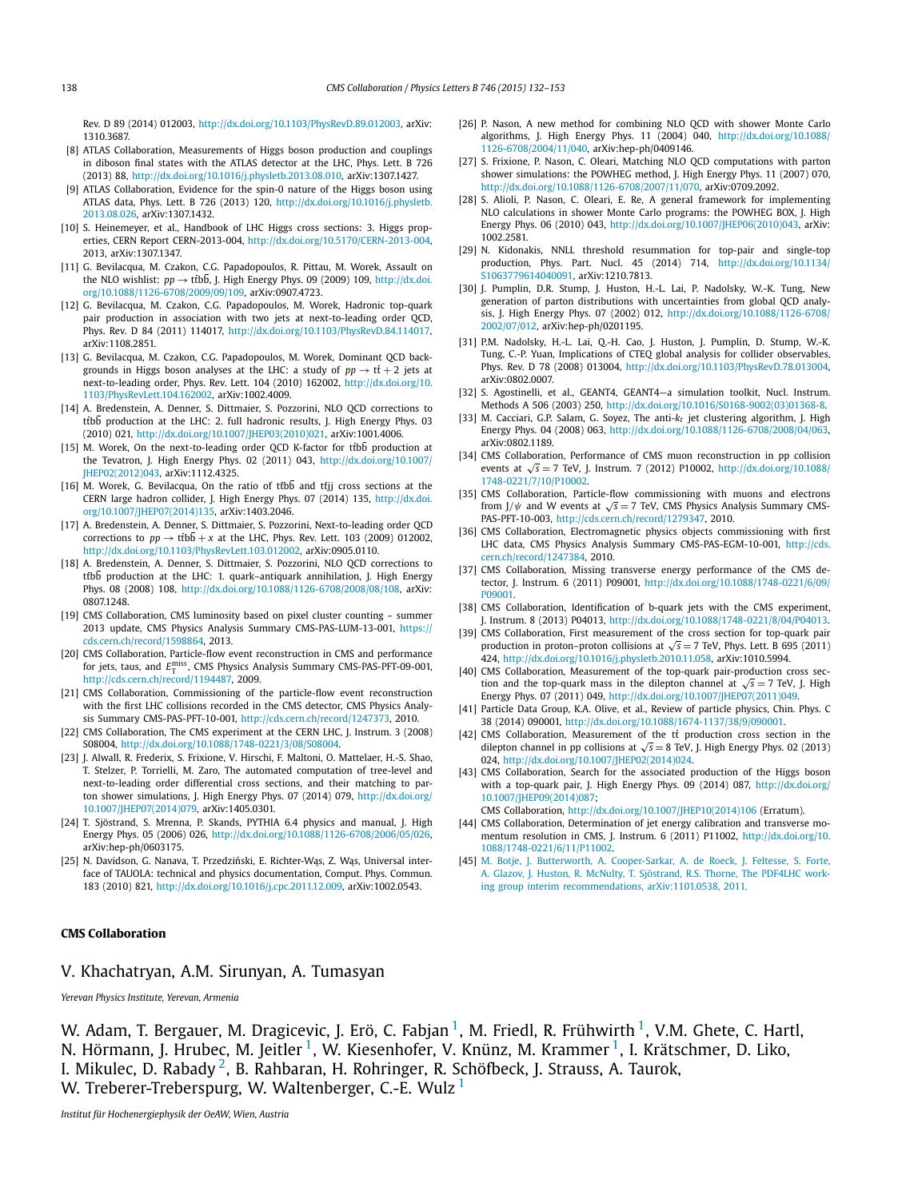<span id="page-6-0"></span>Rev. D 89 (2014) 012003, <http://dx.doi.org/10.1103/PhysRevD.89.012003>, arXiv: 1310.3687.

- [8] ATLAS Collaboration, Measurements of Higgs boson production and couplings in diboson final states with the ATLAS detector at the LHC, Phys. Lett. B 726 (2013) 88, <http://dx.doi.org/10.1016/j.physletb.2013.08.010>, arXiv:1307.1427.
- [9] ATLAS Collaboration, Evidence for the spin-0 nature of the Higgs boson using ATLAS data, Phys. Lett. B 726 (2013) 120, [http://dx.doi.org/10.1016/j.physletb.](http://dx.doi.org/10.1016/j.physletb.2013.08.026) [2013.08.026,](http://dx.doi.org/10.1016/j.physletb.2013.08.026) arXiv:1307.1432.
- [10] S. Heinemeyer, et al., Handbook of LHC Higgs cross sections: 3. Higgs properties, CERN Report CERN-2013-004, <http://dx.doi.org/10.5170/CERN-2013-004>, 2013, arXiv:1307.1347.
- [11] G. Bevilacqua, M. Czakon, C.G. Papadopoulos, R. Pittau, M. Worek, Assault on the NLO wishlist:  $pp \rightarrow$  ttbb, J. High Energy Phys. 09 (2009) 109, [http://dx.doi.](http://dx.doi.org/10.1088/1126-6708/2009/09/109) [org/10.1088/1126-6708/2009/09/109,](http://dx.doi.org/10.1088/1126-6708/2009/09/109) arXiv:0907.4723.
- [12] G. Bevilacqua, M. Czakon, C.G. Papadopoulos, M. Worek, Hadronic top-quark pair production in association with two jets at next-to-leading order QCD, Phys. Rev. D 84 (2011) 114017, <http://dx.doi.org/10.1103/PhysRevD.84.114017>, arXiv:1108.2851.
- [13] G. Bevilacqua, M. Czakon, C.G. Papadopoulos, M. Worek, Dominant QCD backgrounds in Higgs boson analyses at the LHC: a study of  $pp \rightarrow \text{tt} + 2$  jets at next-to-leading order, Phys. Rev. Lett. 104 (2010) 162002, [http://dx.doi.org/10.](http://dx.doi.org/10.1103/PhysRevLett.104.162002) [1103/PhysRevLett.104.162002,](http://dx.doi.org/10.1103/PhysRevLett.104.162002) arXiv:1002.4009.
- [14] A. Bredenstein, A. Denner, S. Dittmaier, S. Pozzorini, NLO OCD corrections to ttbb production at the LHC: 2. full hadronic results, J. High Energy Phys. 03 (2010) 021, [http://dx.doi.org/10.1007/JHEP03\(2010\)021](http://dx.doi.org/10.1007/JHEP03(2010)021), arXiv:1001.4006.
- [15] M. Worek, On the next-to-leading order QCD K-factor for ttbb production at the Tevatron, J. High Energy Phys. 02 (2011) 043, [http://dx.doi.org/10.1007/](http://dx.doi.org/10.1007/JHEP02(2012)043) [JHEP02\(2012\)043](http://dx.doi.org/10.1007/JHEP02(2012)043), arXiv:1112.4325.
- [16] M. Worek, G. Bevilacqua, On the ratio of ttbb and ttjj cross sections at the CERN large hadron collider, J. High Energy Phys. 07 (2014) 135, [http://dx.doi.](http://dx.doi.org/10.1007/JHEP07(2014)135) [org/10.1007/JHEP07\(2014\)135](http://dx.doi.org/10.1007/JHEP07(2014)135), arXiv:1403.2046.
- [17] A. Bredenstein, A. Denner, S. Dittmaier, S. Pozzorini, Next-to-leading order QCD corrections to  $pp \rightarrow$  ttbb + *x* at the LHC. Phys. Rev. Lett. 103 (2009) 012002. <http://dx.doi.org/10.1103/PhysRevLett.103.012002>, arXiv:0905.0110.
- [18] A. Bredenstein, A. Denner, S. Dittmaier, S. Pozzorini, NLO QCD corrections to ttbb production at the LHC: 1. quark–antiquark annihilation, J. High Energy Phys. 08 (2008) 108, [http://dx.doi.org/10.1088/1126-6708/2008/08/108,](http://dx.doi.org/10.1088/1126-6708/2008/08/108) arXiv: 0807.1248.
- [19] CMS Collaboration, CMS luminosity based on pixel cluster counting summer 2013 update, CMS Physics Analysis Summary CMS-PAS-LUM-13-001, [https://](https://cds.cern.ch/record/1598864) [cds.cern.ch/record/1598864,](https://cds.cern.ch/record/1598864) 2013.
- [20] CMS Collaboration, Particle-flow event reconstruction in CMS and performance for jets, taus, and  $E_{\rm T}^{\rm miss}$ , CMS Physics Analysis Summary CMS-PAS-PFT-09-001, <http://cds.cern.ch/record/1194487>, 2009.
- [21] CMS Collaboration, Commissioning of the particle-flow event reconstruction with the first LHC collisions recorded in the CMS detector, CMS Physics Analysis Summary CMS-PAS-PFT-10-001, [http://cds.cern.ch/record/1247373,](http://cds.cern.ch/record/1247373) 2010.
- [22] CMS Collaboration, The CMS experiment at the CERN LHC, J. Instrum. 3 (2008) S08004, <http://dx.doi.org/10.1088/1748-0221/3/08/S08004>.
- [23] J. Alwall, R. Frederix, S. Frixione, V. Hirschi, F. Maltoni, O. Mattelaer, H.-S. Shao, T. Stelzer, P. Torrielli, M. Zaro, The automated computation of tree-level and next-to-leading order differential cross sections, and their matching to parton shower simulations, J. High Energy Phys. 07 (2014) 079, [http://dx.doi.org/](http://dx.doi.org/10.1007/JHEP07(2014)079) [10.1007/JHEP07\(2014\)079,](http://dx.doi.org/10.1007/JHEP07(2014)079) arXiv:1405.0301.
- [24] T. Sjöstrand, S. Mrenna, P. Skands, PYTHIA 6.4 physics and manual, J. High Energy Phys. 05 (2006) 026, <http://dx.doi.org/10.1088/1126-6708/2006/05/026>, arXiv:hep-ph/0603175.
- [25] N. Davidson, G. Nanava, T. Przedziński, E. Richter-Wąs, Z. Wąs, Universal interface of TAUOLA: technical and physics documentation, Comput. Phys. Commun. 183 (2010) 821, [http://dx.doi.org/10.1016/j.cpc.2011.12.009,](http://dx.doi.org/10.1016/j.cpc.2011.12.009) arXiv:1002.0543.

#### **CMS Collaboration**

#### V. Khachatryan, A.M. Sirunyan, A. Tumasyan

*Yerevan Physics Institute, Yerevan, Armenia*

- [26] P. Nason, A new method for combining NLO QCD with shower Monte Carlo algorithms, J. High Energy Phys. 11 (2004) 040, [http://dx.doi.org/10.1088/](http://dx.doi.org/10.1088/1126-6708/2004/11/040) [1126-6708/2004/11/040](http://dx.doi.org/10.1088/1126-6708/2004/11/040), arXiv:hep-ph/0409146.
- [27] S. Frixione, P. Nason, C. Oleari, Matching NLO QCD computations with parton shower simulations: the POWHEG method, J. High Energy Phys. 11 (2007) 070, <http://dx.doi.org/10.1088/1126-6708/2007/11/070>, arXiv:0709.2092.
- [28] S. Alioli, P. Nason, C. Oleari, E. Re, A general framework for implementing NLO calculations in shower Monte Carlo programs: the POWHEG BOX, J. High Energy Phys. 06 (2010) 043, [http://dx.doi.org/10.1007/JHEP06\(2010\)043](http://dx.doi.org/10.1007/JHEP06(2010)043), arXiv: 1002.2581
- [29] N. Kidonakis, NNLL threshold resummation for top-pair and single-top production, Phys. Part. Nucl. 45 (2014) 714, [http://dx.doi.org/10.1134/](http://dx.doi.org/10.1134/S1063779614040091) [S1063779614040091,](http://dx.doi.org/10.1134/S1063779614040091) arXiv:1210.7813.
- [30] J. Pumplin, D.R. Stump, J. Huston, H.-L. Lai, P. Nadolsky, W.-K. Tung, New generation of parton distributions with uncertainties from global QCD analysis, J. High Energy Phys. 07 (2002) 012, [http://dx.doi.org/10.1088/1126-6708/](http://dx.doi.org/10.1088/1126-6708/2002/07/012) [2002/07/012](http://dx.doi.org/10.1088/1126-6708/2002/07/012), arXiv:hep-ph/0201195.
- [31] P.M. Nadolsky, H.-L. Lai, Q.-H. Cao, J. Huston, J. Pumplin, D. Stump, W.-K. Tung, C.-P. Yuan, Implications of CTEQ global analysis for collider observables, Phys. Rev. D 78 (2008) 013004, <http://dx.doi.org/10.1103/PhysRevD.78.013004>, arXiv:0802.0007.
- [32] S. Agostinelli, et al., GEANT4, GEANT4-a simulation toolkit, Nucl. Instrum. Methods A 506 (2003) 250, [http://dx.doi.org/10.1016/S0168-9002\(03\)01368-8](http://dx.doi.org/10.1016/S0168-9002(03)01368-8).
- [33] M. Cacciari, G.P. Salam, G. Soyez, The anti- $k_t$  jet clustering algorithm, J. High Energy Phys. 04 (2008) 063, <http://dx.doi.org/10.1088/1126-6708/2008/04/063>, arXiv:0802.1189.
- [34] CMS Collaboration, Performance of CMS muon reconstruction in pp collision events at <sup>√</sup>*<sup>s</sup>* <sup>=</sup> 7 TeV, J. Instrum. <sup>7</sup> (2012) P10002, [http://dx.doi.org/10.1088/](http://dx.doi.org/10.1088/1748-0221/7/10/P10002) [1748-0221/7/10/P10002](http://dx.doi.org/10.1088/1748-0221/7/10/P10002).
- [35] CMS Collaboration, Particle-flow commissioning with muons and electrons from <sup>J</sup>*/ψ* and <sup>W</sup> events at <sup>√</sup>*<sup>s</sup>* <sup>=</sup> 7 TeV, CMS Physics Analysis Summary CMS-PAS-PFT-10-003, [http://cds.cern.ch/record/1279347,](http://cds.cern.ch/record/1279347) 2010.
- [36] CMS Collaboration, Electromagnetic physics objects commissioning with first LHC data, CMS Physics Analysis Summary CMS-PAS-EGM-10-001, [http://cds.](http://cds.cern.ch/record/1247384) [cern.ch/record/1247384,](http://cds.cern.ch/record/1247384) 2010.
- [37] CMS Collaboration, Missing transverse energy performance of the CMS detector, J. Instrum. 6 (2011) P09001, [http://dx.doi.org/10.1088/1748-0221/6/09/](http://dx.doi.org/10.1088/1748-0221/6/09/P09001) [P09001.](http://dx.doi.org/10.1088/1748-0221/6/09/P09001)
- [38] CMS Collaboration, Identification of b-quark jets with the CMS experiment, J. Instrum. 8 (2013) P04013, [http://dx.doi.org/10.1088/1748-0221/8/04/P04013.](http://dx.doi.org/10.1088/1748-0221/8/04/P04013)
- [39] CMS Collaboration, First measurement of the cross section for top-quark pair production in proton–proton collisions at  $\sqrt{s}$  = 7 TeV, Phys. Lett. B 695 (2011) 424, <http://dx.doi.org/10.1016/j.physletb.2010.11.058>, arXiv:1010.5994.
- [40] CMS Collaboration, Measurement of the top-quark pair-production cross section and the top-quark mass in the dilepton channel at  $\sqrt{s} = 7$  TeV, J. High Energy Phys. 07 (2011) 049, [http://dx.doi.org/10.1007/JHEP07\(2011\)049](http://dx.doi.org/10.1007/JHEP07(2011)049).
- [41] Particle Data Group, K.A. Olive, et al., Review of particle physics, Chin. Phys. C 38 (2014) 090001, <http://dx.doi.org/10.1088/1674-1137/38/9/090001>.
- [42] CMS Collaboration, Measurement of the tt production cross section in the dilepton channel in pp collisions at  $\sqrt{s} = 8$  TeV, J. High Energy Phys. 02 (2013) 024, [http://dx.doi.org/10.1007/JHEP02\(2014\)024.](http://dx.doi.org/10.1007/JHEP02(2014)024)
- [43] CMS Collaboration, Search for the associated production of the Higgs boson with a top-quark pair, J. High Energy Phys. 09 (2014) 087, [http://dx.doi.org/](http://dx.doi.org/10.1007/JHEP09(2014)087) [10.1007/JHEP09\(2014\)087;](http://dx.doi.org/10.1007/JHEP09(2014)087)

CMS Collaboration, [http://dx.doi.org/10.1007/JHEP10\(2014\)106](http://dx.doi.org/10.1007/JHEP10(2014)106) (Erratum).

- [44] CMS Collaboration, Determination of jet energy calibration and transverse momentum resolution in CMS, J. Instrum. 6 (2011) P11002, [http://dx.doi.org/10.](http://dx.doi.org/10.1088/1748-0221/6/11/P11002) [1088/1748-0221/6/11/P11002](http://dx.doi.org/10.1088/1748-0221/6/11/P11002).
- [45] M. Botje, J. Butterworth, A. [Cooper-Sarkar,](http://refhub.elsevier.com/S0370-2693(15)00326-3/bib6269623A504446344C4843s1) A. de Roeck, J. Feltesse, S. Forte, [A. Glazov,](http://refhub.elsevier.com/S0370-2693(15)00326-3/bib6269623A504446344C4843s1) J. Huston, R. McNulty, T. Sjöstrand, R.S. Thorne, The PDF4LHC working group interim [recommendations,](http://refhub.elsevier.com/S0370-2693(15)00326-3/bib6269623A504446344C4843s1) arXiv:1101.0538, 2011.

W. Adam, T. Bergauer, M. Dragicevic, J. Erö, C. Fabjan<sup>[1](#page-20-0)</sup>, M. Friedl, R. Frühwirth<sup>1</sup>, V.M. Ghete, C. Hartl, N. Hörmann, J. Hrubec, M. Jeitler <sup>1</sup>, W. Kiesenhofer, V. Knünz, M. Krammer <sup>1</sup>, I. Krätschmer, D. Liko, I. Mikulec, D. Rabady<sup>2</sup>, B. Rahbaran, H. Rohringer, R. Schöfbeck, J. Strauss, A. Taurok, W. Treberer-Treberspurg, W. Waltenberger, C.-E. Wulz <sup>[1](#page-20-0)</sup>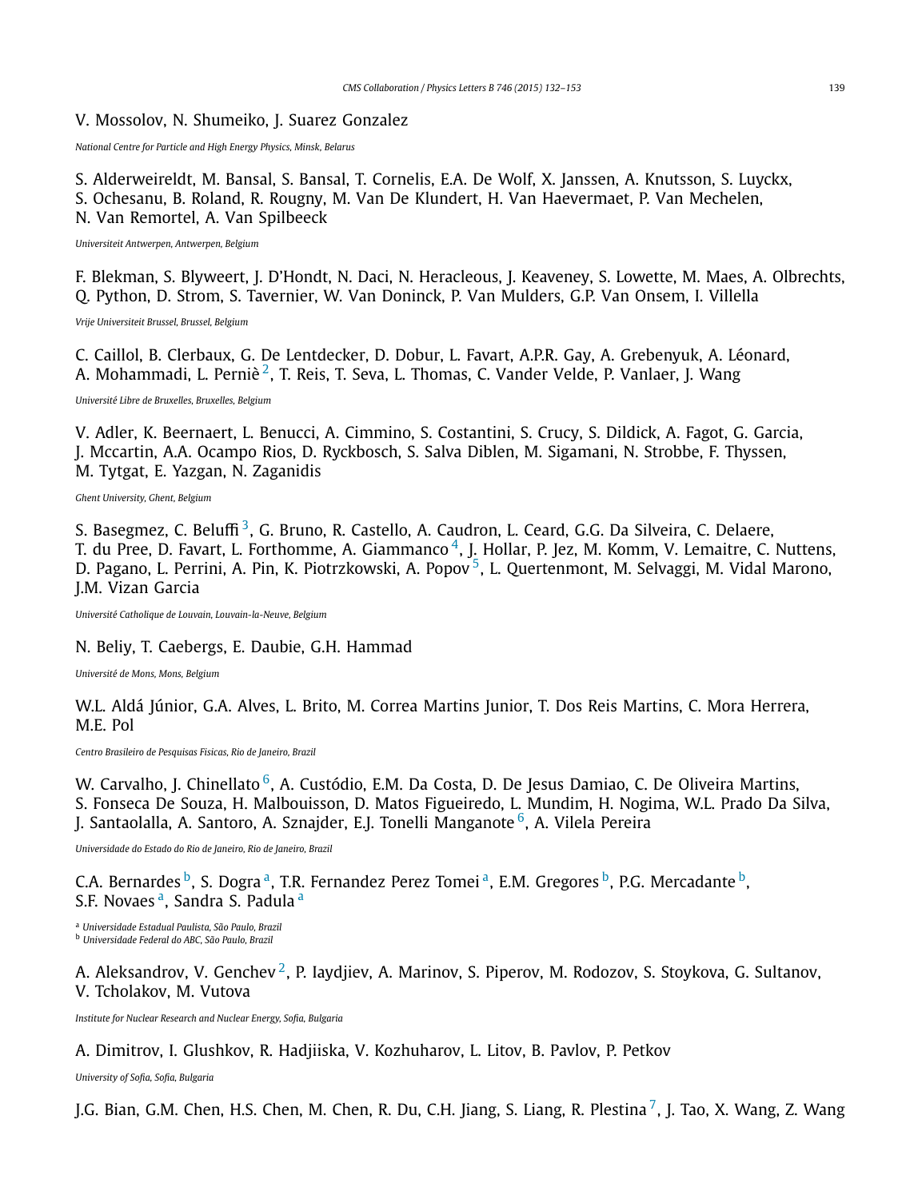### V. Mossolov, N. Shumeiko, J. Suarez Gonzalez

*National Centre for Particle and High Energy Physics, Minsk, Belarus*

S. Alderweireldt, M. Bansal, S. Bansal, T. Cornelis, E.A. De Wolf, X. Janssen, A. Knutsson, S. Luyckx, S. Ochesanu, B. Roland, R. Rougny, M. Van De Klundert, H. Van Haevermaet, P. Van Mechelen, N. Van Remortel, A. Van Spilbeeck

*Universiteit Antwerpen, Antwerpen, Belgium*

F. Blekman, S. Blyweert, J. D'Hondt, N. Daci, N. Heracleous, J. Keaveney, S. Lowette, M. Maes, A. Olbrechts, Q. Python, D. Strom, S. Tavernier, W. Van Doninck, P. Van Mulders, G.P. Van Onsem, I. Villella

*Vrije Universiteit Brussel, Brussel, Belgium*

C. Caillol, B. Clerbaux, G. De Lentdecker, D. Dobur, L. Favart, A.P.R. Gay, A. Grebenyuk, A. Léonard, A. Mohammadi, L. Perniè<sup>2</sup>, T. Reis, T. Seva, L. Thomas, C. Vander Velde, P. Vanlaer, J. Wang

*Université Libre de Bruxelles, Bruxelles, Belgium*

V. Adler, K. Beernaert, L. Benucci, A. Cimmino, S. Costantini, S. Crucy, S. Dildick, A. Fagot, G. Garcia, J. Mccartin, A.A. Ocampo Rios, D. Ryckbosch, S. Salva Diblen, M. Sigamani, N. Strobbe, F. Thyssen, M. Tytgat, E. Yazgan, N. Zaganidis

*Ghent University, Ghent, Belgium*

S. Basegmez, C. Beluffi<sup>3</sup>, G. Bruno, R. Castello, A. Caudron, L. Ceard, G.G. Da Silveira, C. Delaere, T. du Pree, D. Favart, L. Forthomme, A. Giammanco<sup>4</sup>, J. Hollar, P. Jez, M. Komm, V. Lemaitre, C. Nuttens, D. Pagano, L. Perrini, A. Pin, K. Piotrzkowski, A. Popov<sup>5</sup>, L. Quertenmont, M. Selvaggi, M. Vidal Marono, J.M. Vizan Garcia

*Université Catholique de Louvain, Louvain-la-Neuve, Belgium*

N. Beliy, T. Caebergs, E. Daubie, G.H. Hammad

*Université de Mons, Mons, Belgium*

W.L. Aldá Júnior, G.A. Alves, L. Brito, M. Correa Martins Junior, T. Dos Reis Martins, C. Mora Herrera, M.E. Pol

*Centro Brasileiro de Pesquisas Fisicas, Rio de Janeiro, Brazil*

W. Carvalho, J. Chinellato<sup>6</sup>, A. Custódio, E.M. Da Costa, D. De Jesus Damiao, C. De Oliveira Martins, S. Fonseca De Souza, H. Malbouisson, D. Matos Figueiredo, L. Mundim, H. Nogima, W.L. Prado Da Silva, J. Santaolalla, A. Santoro, A. Sznajder, E.J. Tonelli Manganote<sup>6</sup>, A. Vilela Pereira

*Universidade do Estado do Rio de Janeiro, Rio de Janeiro, Brazil*

C.A. Bernardes <sup>b</sup>, S. Dogra<sup>a</sup>, T.R. Fernandez Perez Tomei<sup>a</sup>, E.M. Gregores <sup>b</sup>. P.G. Mercadante <sup>b</sup>. S.F. Novaes<sup>a</sup>, Sandra S. Padula<sup>a</sup>

<sup>a</sup> *Universidade Estadual Paulista, São Paulo, Brazil* <sup>b</sup> *Universidade Federal do ABC, São Paulo, Brazil*

A. Aleksandrov, V. Genchev<sup>[2](#page-20-0)</sup>, P. Iaydiiev, A. Marinov, S. Piperov, M. Rodozov, S. Stoykova, G. Sultanov, V. Tcholakov, M. Vutova

*Institute for Nuclear Research and Nuclear Energy, Sofia, Bulgaria*

A. Dimitrov, I. Glushkov, R. Hadjiiska, V. Kozhuharov, L. Litov, B. Pavlov, P. Petkov

*University of Sofia, Sofia, Bulgaria*

J.G. Bian, G.M. Chen, H.S. Chen, M. Chen, R. Du, C.H. Jiang, S. Liang, R. Plestina<sup>7</sup>, J. Tao, X. Wang, Z. Wang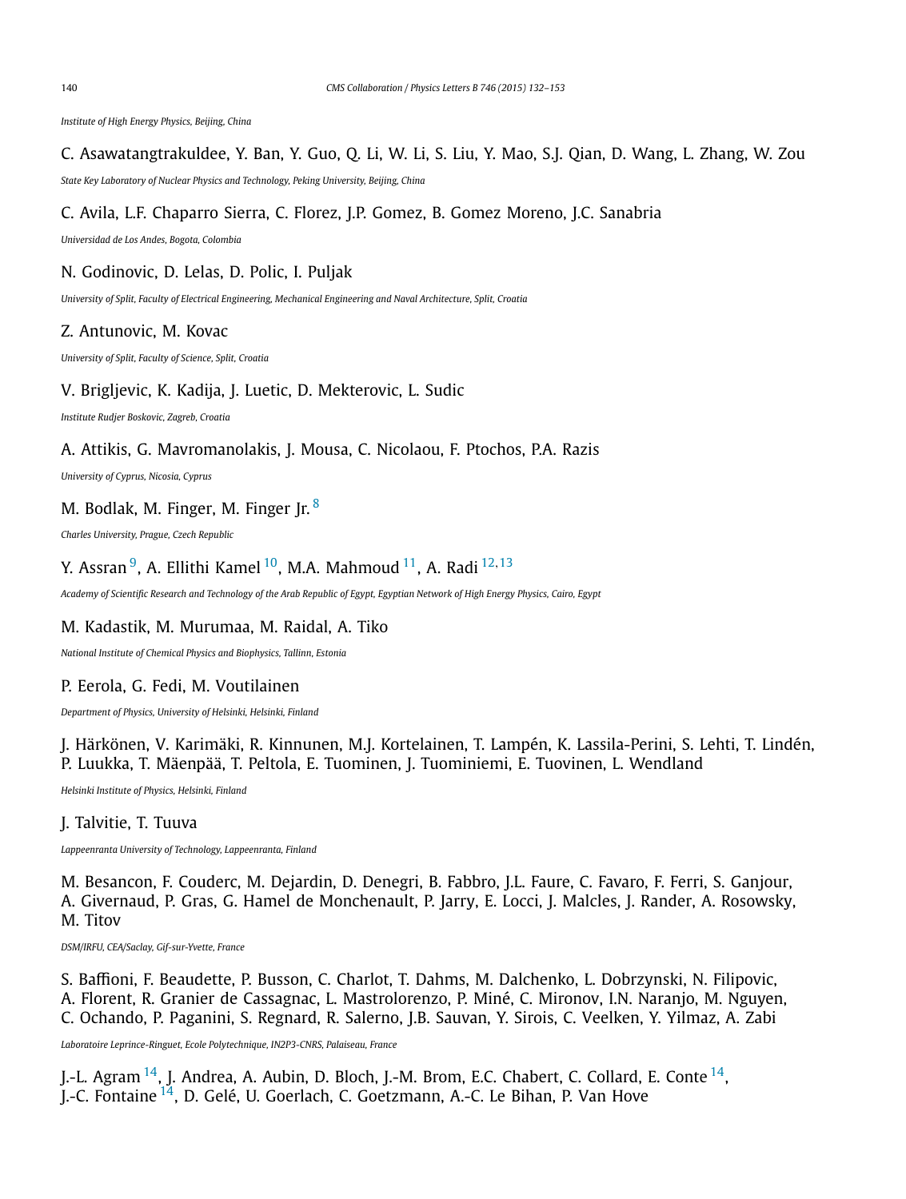*Institute of High Energy Physics, Beijing, China*

# C. Asawatangtrakuldee, Y. Ban, Y. Guo, Q. Li, W. Li, S. Liu, Y. Mao, S.J. Qian, D. Wang, L. Zhang, W. Zou

*State Key Laboratory of Nuclear Physics and Technology, Peking University, Beijing, China*

### C. Avila, L.F. Chaparro Sierra, C. Florez, J.P. Gomez, B. Gomez Moreno, J.C. Sanabria

*Universidad de Los Andes, Bogota, Colombia*

#### N. Godinovic, D. Lelas, D. Polic, I. Puljak

*University of Split, Faculty of Electrical Engineering, Mechanical Engineering and Naval Architecture, Split, Croatia*

#### Z. Antunovic, M. Kovac

*University of Split, Faculty of Science, Split, Croatia*

#### V. Brigljevic, K. Kadija, J. Luetic, D. Mekterovic, L. Sudic

*Institute Rudjer Boskovic, Zagreb, Croatia*

#### A. Attikis, G. Mavromanolakis, J. Mousa, C. Nicolaou, F. Ptochos, P.A. Razis

*University of Cyprus, Nicosia, Cyprus*

M. Bodlak, M. Finger, M. Finger Jr. [8](#page-20-0)

*Charles University, Prague, Czech Republic*

### Y. Assran [9,](#page-20-0) A. Ellithi Kamel [10,](#page-20-0) M.A. Mahmoud [11,](#page-20-0) A. Radi [12](#page-20-0)*,*[13](#page-20-0)

Academy of Scientific Research and Technology of the Arab Republic of Egypt, Egyptian Network of High Energy Physics, Cairo, Egypt

#### M. Kadastik, M. Murumaa, M. Raidal, A. Tiko

*National Institute of Chemical Physics and Biophysics, Tallinn, Estonia*

#### P. Eerola, G. Fedi, M. Voutilainen

*Department of Physics, University of Helsinki, Helsinki, Finland*

J. Härkönen, V. Karimäki, R. Kinnunen, M.J. Kortelainen, T. Lampén, K. Lassila-Perini, S. Lehti, T. Lindén, P. Luukka, T. Mäenpää, T. Peltola, E. Tuominen, J. Tuominiemi, E. Tuovinen, L. Wendland

*Helsinki Institute of Physics, Helsinki, Finland*

### J. Talvitie, T. Tuuva

*Lappeenranta University of Technology, Lappeenranta, Finland*

M. Besancon, F. Couderc, M. Dejardin, D. Denegri, B. Fabbro, J.L. Faure, C. Favaro, F. Ferri, S. Ganjour, A. Givernaud, P. Gras, G. Hamel de Monchenault, P. Jarry, E. Locci, J. Malcles, J. Rander, A. Rosowsky, M. Titov

*DSM/IRFU, CEA/Saclay, Gif-sur-Yvette, France*

S. Baffioni, F. Beaudette, P. Busson, C. Charlot, T. Dahms, M. Dalchenko, L. Dobrzynski, N. Filipovic, A. Florent, R. Granier de Cassagnac, L. Mastrolorenzo, P. Miné, C. Mironov, I.N. Naranjo, M. Nguyen, C. Ochando, P. Paganini, S. Regnard, R. Salerno, J.B. Sauvan, Y. Sirois, C. Veelken, Y. Yilmaz, A. Zabi

*Laboratoire Leprince-Ringuet, Ecole Polytechnique, IN2P3-CNRS, Palaiseau, France*

J.-L. Agram  $^{14}$ , J. Andrea, A. Aubin, D. Bloch, J.-M. Brom, E.C. Chabert, C. Collard, E. Conte  $^{14}$ , J.-C. Fontaine <sup>14</sup>, D. Gelé, U. Goerlach, C. Goetzmann, A.-C. Le Bihan, P. Van Hove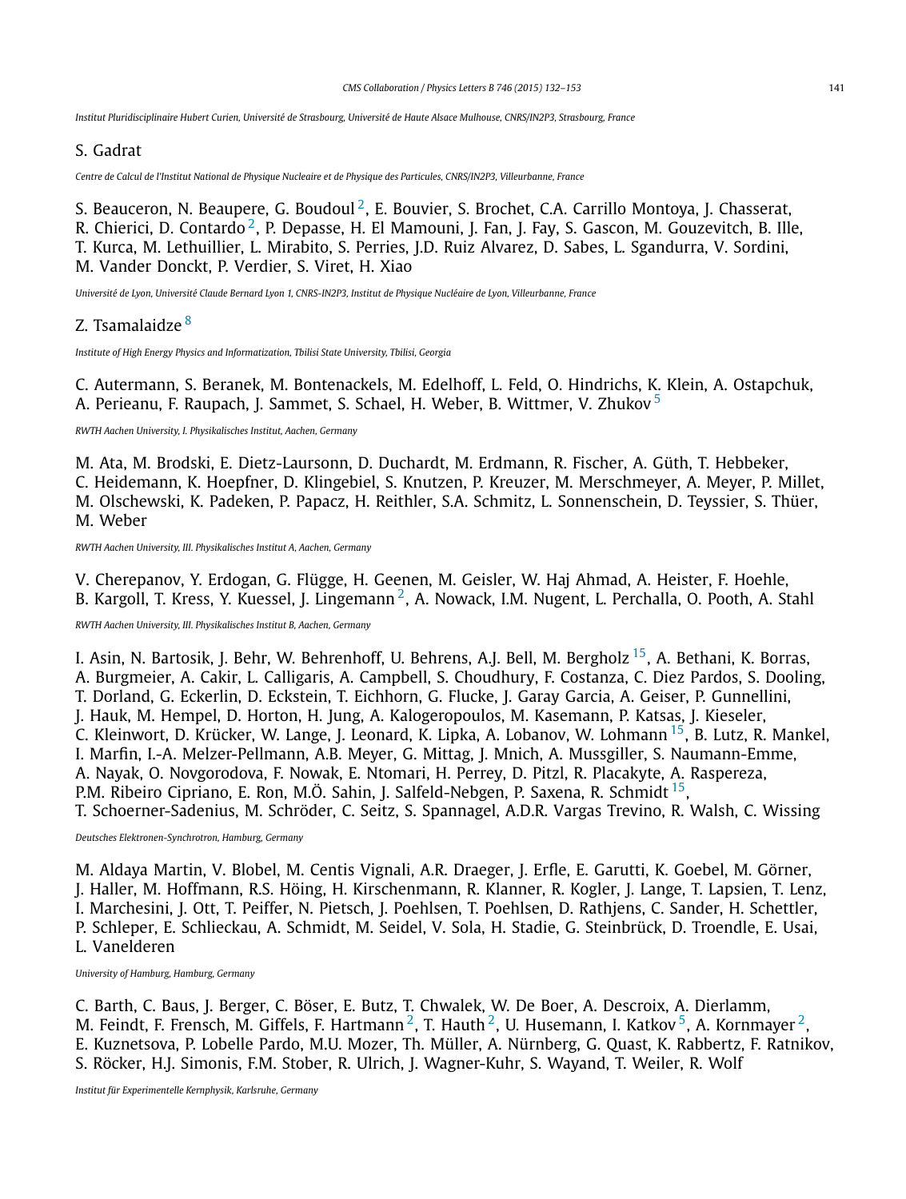Institut Pluridisciplinaire Hubert Curien, Université de Strasbourg, Université de Haute Alsace Mulhouse, CNRS/IN2P3, Strasbourg, France

### S. Gadrat

Centre de Calcul de l'Institut National de Physiaue Nucleaire et de Physiaue des Particules. CNRS/IN2P3. Villeurbanne. France

S. Beauceron, N. Beaupere, G. Boudoul<sup>2</sup>, E. Bouvier, S. Brochet, C.A. Carrillo Montoya, J. Chasserat, R. Chierici, D. Contardo<sup>2</sup>, P. Depasse, H. El Mamouni, J. Fan, J. Fay, S. Gascon, M. Gouzevitch, B. Ille, T. Kurca, M. Lethuillier, L. Mirabito, S. Perries, J.D. Ruiz Alvarez, D. Sabes, L. Sgandurra, V. Sordini, M. Vander Donckt, P. Verdier, S. Viret, H. Xiao

Université de Lyon, Université Claude Bernard Lyon 1, CNRS-IN2P3, Institut de Physique Nucléaire de Lyon, Villeurbanne, France

### Z. Tsamalaidze<sup>[8](#page-20-0)</sup>

*Institute of High Energy Physics and Informatization, Tbilisi State University, Tbilisi, Georgia*

C. Autermann, S. Beranek, M. Bontenackels, M. Edelhoff, L. Feld, O. Hindrichs, K. Klein, A. Ostapchuk, A. Perieanu, F. Raupach, J. Sammet, S. Schael, H. Weber, B. Wittmer, V. Zhukov [5](#page-20-0)

*RWTH Aachen University, I. Physikalisches Institut, Aachen, Germany*

M. Ata, M. Brodski, E. Dietz-Laursonn, D. Duchardt, M. Erdmann, R. Fischer, A. Güth, T. Hebbeker, C. Heidemann, K. Hoepfner, D. Klingebiel, S. Knutzen, P. Kreuzer, M. Merschmeyer, A. Meyer, P. Millet, M. Olschewski, K. Padeken, P. Papacz, H. Reithler, S.A. Schmitz, L. Sonnenschein, D. Teyssier, S. Thüer, M. Weber

*RWTH Aachen University, III. Physikalisches Institut A, Aachen, Germany*

V. Cherepanov, Y. Erdogan, G. Flügge, H. Geenen, M. Geisler, W. Haj Ahmad, A. Heister, F. Hoehle, B. Kargoll, T. Kress, Y. Kuessel, J. Lingemann [2,](#page-20-0) A. Nowack, I.M. Nugent, L. Perchalla, O. Pooth, A. Stahl

*RWTH Aachen University, III. Physikalisches Institut B, Aachen, Germany*

I. Asin, N. Bartosik, J. Behr, W. Behrenhoff, U. Behrens, A.J. Bell, M. Bergholz [15,](#page-20-0) A. Bethani, K. Borras, A. Burgmeier, A. Cakir, L. Calligaris, A. Campbell, S. Choudhury, F. Costanza, C. Diez Pardos, S. Dooling, T. Dorland, G. Eckerlin, D. Eckstein, T. Eichhorn, G. Flucke, J. Garay Garcia, A. Geiser, P. Gunnellini, J. Hauk, M. Hempel, D. Horton, H. Jung, A. Kalogeropoulos, M. Kasemann, P. Katsas, J. Kieseler, C. Kleinwort, D. Krücker, W. Lange, J. Leonard, K. Lipka, A. Lobanov, W. Lohmann [15,](#page-20-0) B. Lutz, R. Mankel, I. Marfin, I.-A. Melzer-Pellmann, A.B. Meyer, G. Mittag, J. Mnich, A. Mussgiller, S. Naumann-Emme, A. Nayak, O. Novgorodova, F. Nowak, E. Ntomari, H. Perrey, D. Pitzl, R. Placakyte, A. Raspereza, P.M. Ribeiro Cipriano, E. Ron, M.Ö. Sahin, J. Salfeld-Nebgen, P. Saxena, R. Schmidt<sup>15</sup>, T. Schoerner-Sadenius, M. Schröder, C. Seitz, S. Spannagel, A.D.R. Vargas Trevino, R. Walsh, C. Wissing

*Deutsches Elektronen-Synchrotron, Hamburg, Germany*

M. Aldaya Martin, V. Blobel, M. Centis Vignali, A.R. Draeger, J. Erfle, E. Garutti, K. Goebel, M. Görner, J. Haller, M. Hoffmann, R.S. Höing, H. Kirschenmann, R. Klanner, R. Kogler, J. Lange, T. Lapsien, T. Lenz, I. Marchesini, J. Ott, T. Peiffer, N. Pietsch, J. Poehlsen, T. Poehlsen, D. Rathjens, C. Sander, H. Schettler, P. Schleper, E. Schlieckau, A. Schmidt, M. Seidel, V. Sola, H. Stadie, G. Steinbrück, D. Troendle, E. Usai, L. Vanelderen

*University of Hamburg, Hamburg, Germany*

C. Barth, C. Baus, J. Berger, C. Böser, E. Butz, T. Chwalek, W. De Boer, A. Descroix, A. Dierlamm, M. Feindt, F. Frensch, M. Giffels, F. Hartmann<sup>2</sup>, T. Hauth<sup>2</sup>, U. Husemann, I. Katkov<sup>5</sup>, A. Kornmayer<sup>2</sup>, E. Kuznetsova, P. Lobelle Pardo, M.U. Mozer, Th. Müller, A. Nürnberg, G. Quast, K. Rabbertz, F. Ratnikov, S. Röcker, H.J. Simonis, F.M. Stober, R. Ulrich, J. Wagner-Kuhr, S. Wayand, T. Weiler, R. Wolf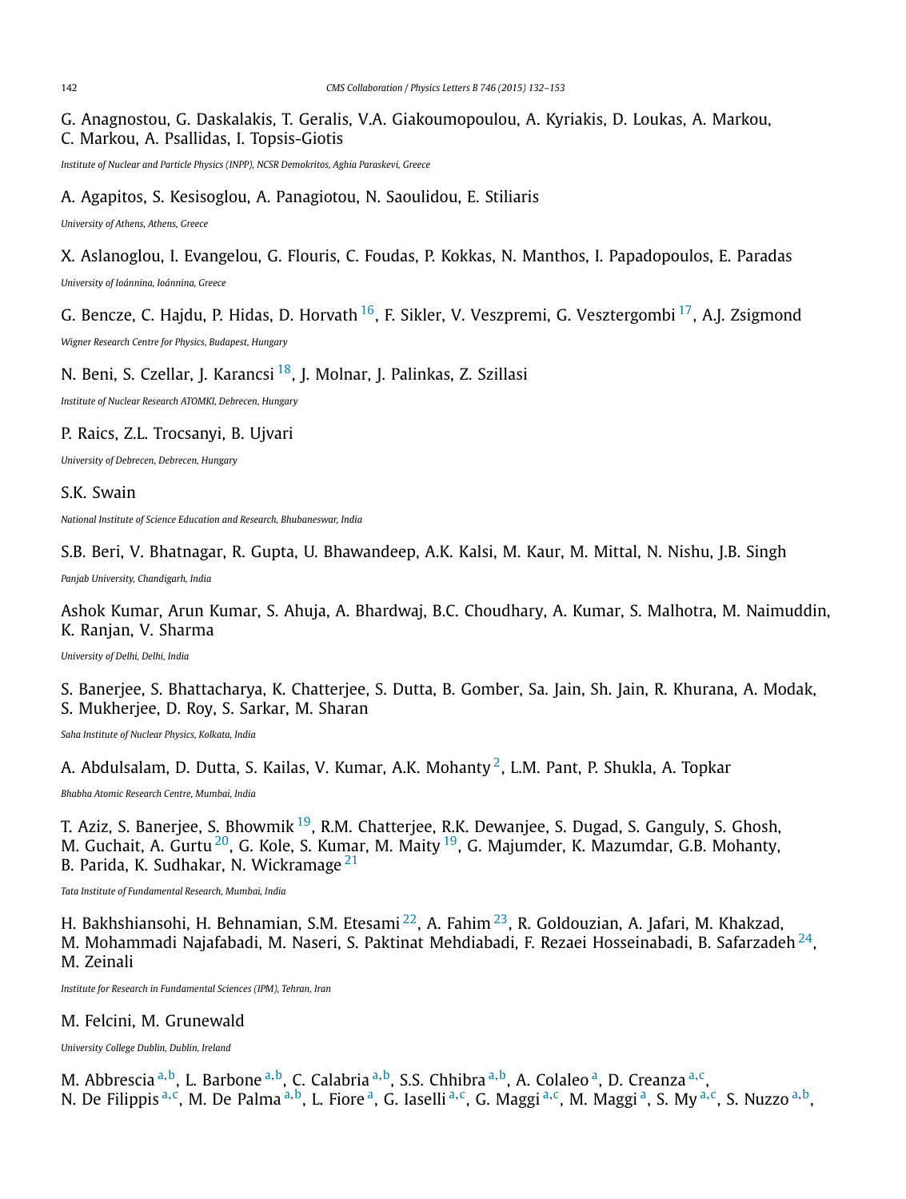### G. Anagnostou, G. Daskalakis, T. Geralis, V.A. Giakoumopoulou, A. Kyriakis, D. Loukas, A. Markou, C. Markou, A. Psallidas, I. Topsis-Giotis

*Institute of Nuclear and Particle Physics (INPP), NCSR Demokritos, Aghia Paraskevi, Greece*

#### A. Agapitos, S. Kesisoglou, A. Panagiotou, N. Saoulidou, E. Stiliaris

*University of Athens, Athens, Greece*

X. Aslanoglou, I. Evangelou, G. Flouris, C. Foudas, P. Kokkas, N. Manthos, I. Papadopoulos, E. Paradas

*University of Ioánnina, Ioánnina, Greece*

G. Bencze, C. Hajdu, P. Hidas, D. Horvath [16](#page-20-0), F. Sikler, V. Veszpremi, G. Vesztergombi [17,](#page-20-0) A.J. Zsigmond *Wigner Research Centre for Physics, Budapest, Hungary*

N. Beni, S. Czellar, J. Karancsi [18,](#page-20-0) J. Molnar, J. Palinkas, Z. Szillasi

*Institute of Nuclear Research ATOMKI, Debrecen, Hungary*

#### P. Raics, Z.L. Trocsanyi, B. Ujvari

*University of Debrecen, Debrecen, Hungary*

#### S.K. Swain

*National Institute of Science Education and Research, Bhubaneswar, India*

S.B. Beri, V. Bhatnagar, R. Gupta, U. Bhawandeep, A.K. Kalsi, M. Kaur, M. Mittal, N. Nishu, J.B. Singh

*Panjab University, Chandigarh, India*

Ashok Kumar, Arun Kumar, S. Ahuja, A. Bhardwaj, B.C. Choudhary, A. Kumar, S. Malhotra, M. Naimuddin, K. Ranjan, V. Sharma

*University of Delhi, Delhi, India*

S. Banerjee, S. Bhattacharya, K. Chatterjee, S. Dutta, B. Gomber, Sa. Jain, Sh. Jain, R. Khurana, A. Modak, S. Mukherjee, D. Roy, S. Sarkar, M. Sharan

*Saha Institute of Nuclear Physics, Kolkata, India*

A. Abdulsalam, D. Dutta, S. Kailas, V. Kumar, A.K. Mohanty<sup>2</sup>, L.M. Pant, P. Shukla, A. Topkar

*Bhabha Atomic Research Centre, Mumbai, India*

T. Aziz, S. Banerjee, S. Bhowmik <sup>[19](#page-20-0)</sup>, R.M. Chatterjee, R.K. Dewanjee, S. Dugad, S. Ganguly, S. Ghosh, M. Guchait, A. Gurtu<sup>20</sup>, G. Kole, S. Kumar, M. Maity <sup>19</sup>, G. Majumder, K. Mazumdar, G.B. Mohanty, B. Parida, K. Sudhakar, N. Wickramage [21](#page-20-0)

*Tata Institute of Fundamental Research, Mumbai, India*

H. Bakhshiansohi, H. Behnamian, S.M. Etesami  $^{22}$ , A. Fahim  $^{23}$ , R. Goldouzian, A. Jafari, M. Khakzad, M. Mohammadi Najafabadi, M. Naseri, S. Paktinat Mehdiabadi, F. Rezaei Hosseinabadi, B. Safarzadeh <sup>24</sup>, M. Zeinali

*Institute for Research in Fundamental Sciences (IPM), Tehran, Iran*

#### M. Felcini, M. Grunewald

*University College Dublin, Dublin, Ireland*

M. Abbrescia [a](#page-11-0)*,*[b,](#page-11-0) L. Barbone [a](#page-11-0)*,*[b,](#page-11-0) C. Calabria [a](#page-11-0)*,*[b,](#page-11-0) S.S. Chhibra [a](#page-11-0)*,*[b](#page-11-0), A. Colaleo [a,](#page-11-0) D. Creanza [a](#page-11-0)*,*[c,](#page-11-0) N. De Filippis [a](#page-11-0)*,*[c,](#page-11-0) M. De Palma [a](#page-11-0)*,*[b,](#page-11-0) L. Fiore [a,](#page-11-0) G. Iaselli [a](#page-11-0)*,*[c,](#page-11-0) G. Maggi [a](#page-11-0)*,*[c,](#page-11-0) M. Maggi [a,](#page-11-0) S. My [a](#page-11-0)*,*[c,](#page-11-0) S. Nuzzo [a](#page-11-0)*,*[b](#page-11-0),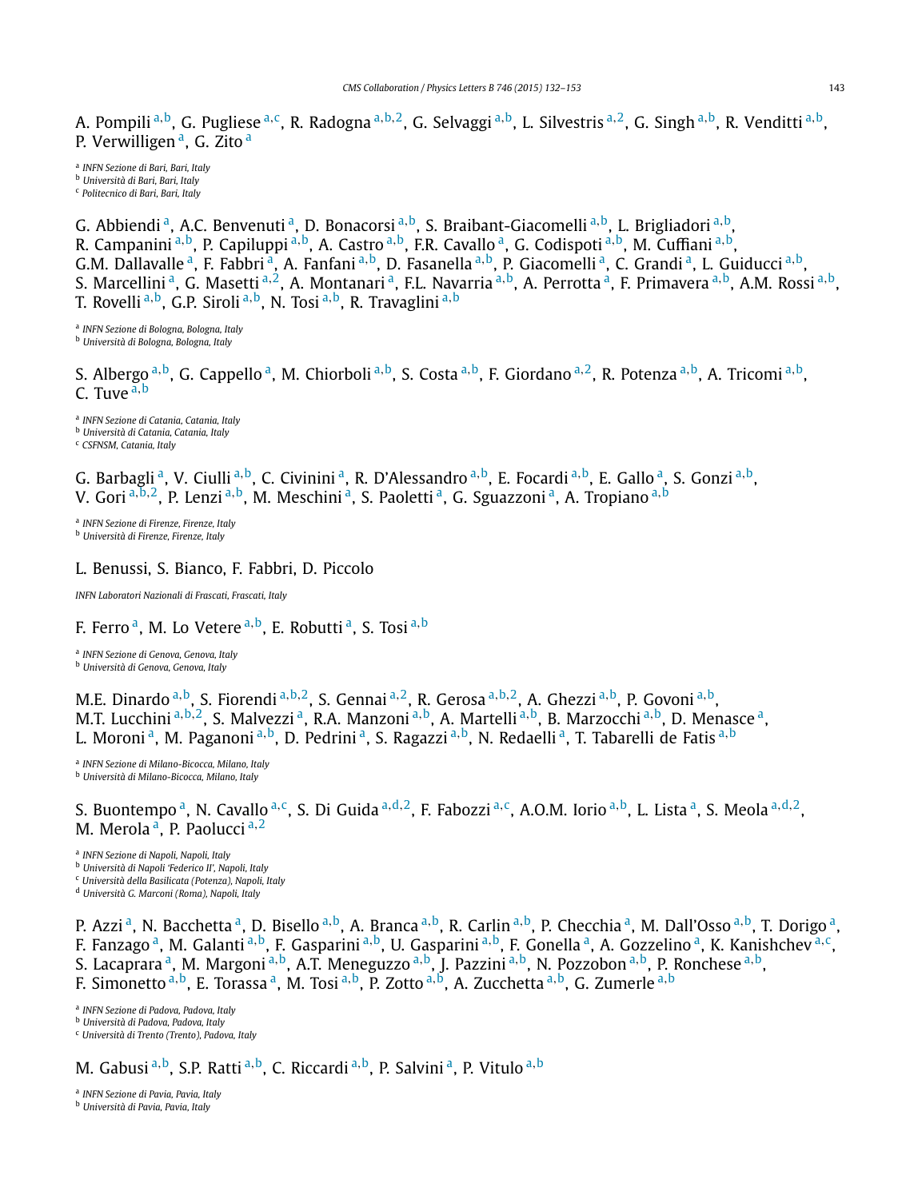<span id="page-11-0"></span>A. Pompili <sup>a</sup>*,*b, G. Pugliese <sup>a</sup>*,*c, R. Radogna <sup>a</sup>*,*b*,*[2,](#page-20-0) G. Selvaggi <sup>a</sup>*,*b, L. Silvestris <sup>a</sup>*,*[2,](#page-20-0) G. Singh <sup>a</sup>*,*b, R. Venditti <sup>a</sup>*,*b, P. Verwilligen<sup>a</sup>, G. Zito<sup>a</sup>

<sup>a</sup> *INFN Sezione di Bari, Bari, Italy* <sup>b</sup> *Università di Bari, Bari, Italy* <sup>c</sup> *Politecnico di Bari, Bari, Italy*

G. Abbiendi a, A.C. Benvenuti a, D. Bonacorsi <sup>a</sup>*,*b, S. Braibant-Giacomelli <sup>a</sup>*,*b, L. Brigliadori <sup>a</sup>*,*b, R. Campanini <sup>a</sup>*,*b, P. Capiluppi <sup>a</sup>*,*b, A. Castro <sup>a</sup>*,*b, F.R. Cavallo a, G. Codispoti <sup>a</sup>*,*b, M. Cuffiani <sup>a</sup>*,*b, G.M. Dallavalle a, F. Fabbri a, A. Fanfani <sup>a</sup>*,*b, D. Fasanella <sup>a</sup>*,*b, P. Giacomelli a, C. Grandi a, L. Guiducci <sup>a</sup>*,*b, S. Marcellini a, G. Masetti <sup>a</sup>*,*[2](#page-20-0), A. Montanari a, F.L. Navarria <sup>a</sup>*,*b, A. Perrotta a, F. Primavera <sup>a</sup>*,*b, A.M. Rossi <sup>a</sup>*,*b, T. Rovelli <sup>a</sup>*,*b, G.P. Siroli <sup>a</sup>*,*b, N. Tosi <sup>a</sup>*,*b, R. Travaglini <sup>a</sup>*,*<sup>b</sup>

<sup>a</sup> *INFN Sezione di Bologna, Bologna, Italy* <sup>b</sup> *Università di Bologna, Bologna, Italy*

S. Albergo <sup>a</sup>*,*b, G. Cappello a, M. Chiorboli <sup>a</sup>*,*b, S. Costa <sup>a</sup>*,*b, F. Giordano <sup>a</sup>*,*[2,](#page-20-0) R. Potenza <sup>a</sup>*,*b, A. Tricomi <sup>a</sup>*,*b, C. Tuve <sup>a</sup>*,*<sup>b</sup>

<sup>a</sup> *INFN Sezione di Catania, Catania, Italy*

<sup>b</sup> *Università di Catania, Catania, Italy*

<sup>c</sup> *CSFNSM, Catania, Italy*

G. Barbagli a, V. Ciulli <sup>a</sup>*,*b, C. Civinini a, R. D'Alessandro <sup>a</sup>*,*b, E. Focardi <sup>a</sup>*,*b, E. Gallo a, S. Gonzi <sup>a</sup>*,*b, V. Gori <sup>a</sup>*,*b*,*[2,](#page-20-0) P. Lenzi <sup>a</sup>*,*b, M. Meschini a, S. Paoletti a, G. Sguazzoni a, A. Tropiano <sup>a</sup>*,*<sup>b</sup>

<sup>a</sup> *INFN Sezione di Firenze, Firenze, Italy*

<sup>b</sup> *Università di Firenze, Firenze, Italy*

### L. Benussi, S. Bianco, F. Fabbri, D. Piccolo

*INFN Laboratori Nazionali di Frascati, Frascati, Italy*

#### F. Ferro a, M. Lo Vetere <sup>a</sup>*,*b, E. Robutti a, S. Tosi <sup>a</sup>*,*<sup>b</sup>

<sup>a</sup> *INFN Sezione di Genova, Genova, Italy* <sup>b</sup> *Università di Genova, Genova, Italy*

M.E. Dinardo <sup>a</sup>*,*b, S. Fiorendi <sup>a</sup>*,*b*,*[2,](#page-20-0) S. Gennai <sup>a</sup>*,*[2,](#page-20-0) R. Gerosa <sup>a</sup>*,*b*,*[2,](#page-20-0) A. Ghezzi <sup>a</sup>*,*b, P. Govoni <sup>a</sup>*,*b, M.T. Lucchini <sup>a</sup>*,*b*,*[2](#page-20-0), S. Malvezzi a, R.A. Manzoni <sup>a</sup>*,*b, A. Martelli <sup>a</sup>*,*b, B. Marzocchi <sup>a</sup>*,*b, D. Menasce a, L. Moroni<sup>a</sup>, M. Paganoni<sup>a, b</sup>, D. Pedrini<sup>a</sup>, S. Ragazzi<sup>a, b</sup>, N. Redaelli<sup>a</sup>, T. Tabarelli de Fatis<sup>a, b</sup>

<sup>a</sup> *INFN Sezione di Milano-Bicocca, Milano, Italy*

<sup>b</sup> *Università di Milano-Bicocca, Milano, Italy*

S. Buontempo a, N. Cavallo <sup>a</sup>*,*c, S. Di Guida <sup>a</sup>*,*d*,*[2,](#page-20-0) F. Fabozzi <sup>a</sup>*,*c, A.O.M. Iorio <sup>a</sup>*,*b, L. Lista a, S. Meola <sup>a</sup>*,*d*,*[2,](#page-20-0) M. Merola a, P. Paolucci <sup>a</sup>*,*[2](#page-20-0)

<sup>a</sup> *INFN Sezione di Napoli, Napoli, Italy*

<sup>b</sup> *Università di Napoli 'Federico II', Napoli, Italy*

<sup>c</sup> *Università della Basilicata (Potenza), Napoli, Italy*

<sup>d</sup> *Università G. Marconi (Roma), Napoli, Italy*

P. Azzi<sup>a</sup>, N. Bacchetta<sup>a</sup>, D. Bisello<sup>a,b</sup>, A. Branca<sup>a,b</sup>, R. Carlin<sup>a,b</sup>, P. Checchia<sup>a</sup>, M. Dall'Osso<sup>a,b</sup>, T. Dorigo<sup>a</sup>. F. Fanzago a, M. Galanti <sup>a</sup>*,*b, F. Gasparini <sup>a</sup>*,*b, U. Gasparini <sup>a</sup>*,*b, F. Gonella a, A. Gozzelino a, K. Kanishchev <sup>a</sup>*,*c, S. Lacaprara a, M. Margoni <sup>a</sup>*,*b, A.T. Meneguzzo <sup>a</sup>*,*b, J. Pazzini <sup>a</sup>*,*b, N. Pozzobon <sup>a</sup>*,*b, P. Ronchese <sup>a</sup>*,*b, F. Simonetto <sup>a</sup>*,*b, E. Torassa a, M. Tosi <sup>a</sup>*,*b, P. Zotto <sup>a</sup>*,*b, A. Zucchetta <sup>a</sup>*,*b, G. Zumerle <sup>a</sup>*,*<sup>b</sup>

<sup>a</sup> *INFN Sezione di Padova, Padova, Italy*

<sup>b</sup> *Università di Padova, Padova, Italy*

<sup>c</sup> *Università di Trento (Trento), Padova, Italy*

M. Gabusi <sup>a</sup>*,*b, S.P. Ratti <sup>a</sup>*,*b, C. Riccardi <sup>a</sup>*,*b, P. Salvini a, P. Vitulo <sup>a</sup>*,*<sup>b</sup>

<sup>a</sup> *INFN Sezione di Pavia, Pavia, Italy*

<sup>b</sup> *Università di Pavia, Pavia, Italy*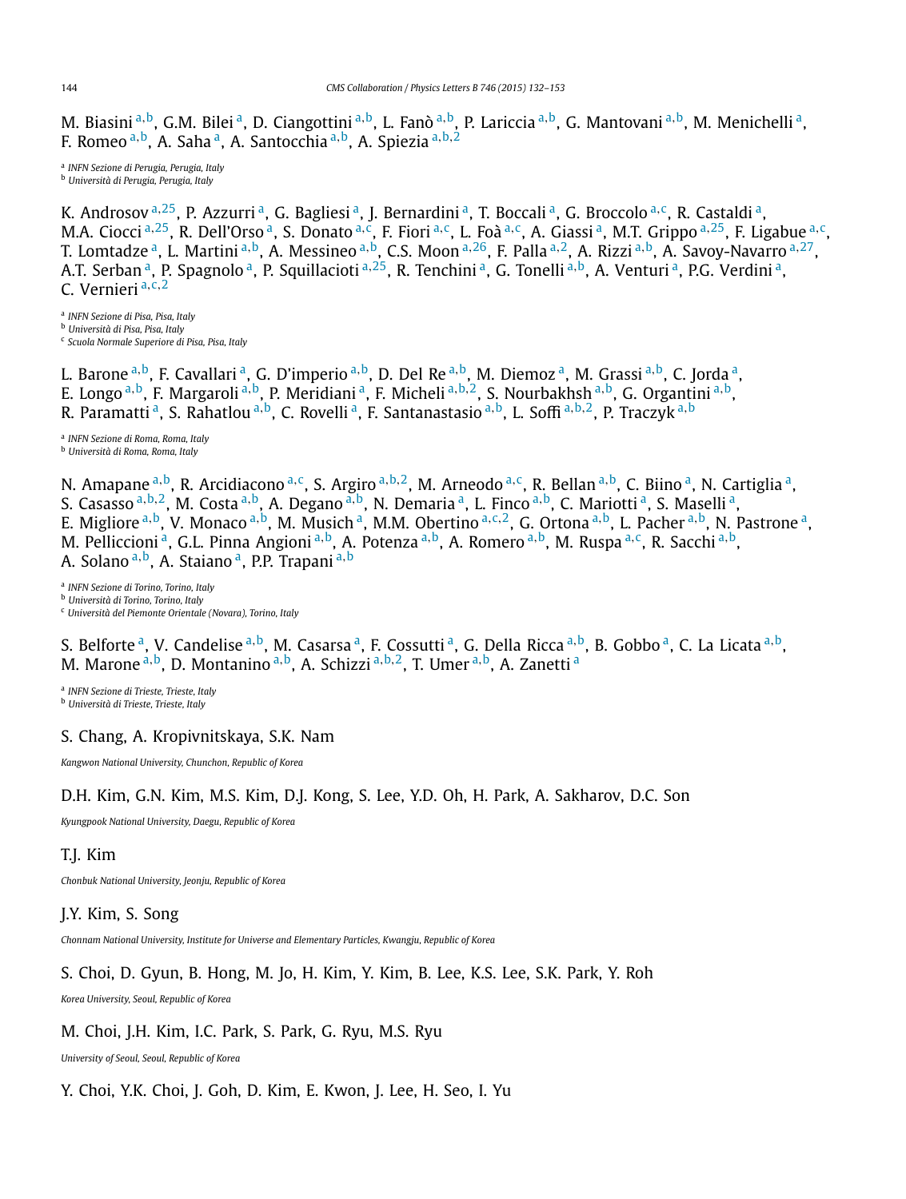M. Biasini <sup>a</sup>*,*b, G.M. Bilei a, D. Ciangottini <sup>a</sup>*,*b, L. Fanò <sup>a</sup>*,*b, P. Lariccia <sup>a</sup>*,*b, G. Mantovani <sup>a</sup>*,*b, M. Menichelli a, F. Romeo <sup>a</sup>*,*b, A. Saha a, A. Santocchia <sup>a</sup>*,*b, A. Spiezia <sup>a</sup>*,*b*,*[2](#page-20-0)

<sup>a</sup> *INFN Sezione di Perugia, Perugia, Italy* <sup>b</sup> *Università di Perugia, Perugia, Italy*

K. Androsov a, [25,](#page-20-0) P. Azzurri a, G. Bagliesi a, J. Bernardini a, T. Boccali a, G. Broccolo a,c, R. Castaldi a, M.A. Ciocci <sup>a</sup>*,*[25,](#page-20-0) R. Dell'Orso a, S. Donato <sup>a</sup>*,*c, F. Fiori <sup>a</sup>*,*c, L. Foà <sup>a</sup>*,*c, A. Giassi a, M.T. Grippo <sup>a</sup>*,*[25,](#page-20-0) F. Ligabue <sup>a</sup>*,*c, T. Lomtadze a, L. Martini <sup>a</sup>*,*b, A. Messineo <sup>a</sup>*,*b, C.S. Moon <sup>a</sup>*,*[26,](#page-20-0) F. Palla <sup>a</sup>*,*[2,](#page-20-0) A. Rizzi <sup>a</sup>*,*b, A. Savoy-Navarro <sup>a</sup>*,*[27,](#page-20-0) A.T. Serban <sup>a</sup>, P. Spagnolo <sup>a</sup>, P. Squillacioti <sup>a,25</sup>, R. Tenchini <sup>a</sup>, G. Tonelli <sup>a,b</sup>, A. Venturi <sup>a</sup>, P.G. Verdini <sup>a</sup>, C. Vernieri <sup>a</sup>*,*c*,*[2](#page-20-0)

<sup>a</sup> *INFN Sezione di Pisa, Pisa, Italy*

<sup>b</sup> *Università di Pisa, Pisa, Italy*

<sup>c</sup> *Scuola Normale Superiore di Pisa, Pisa, Italy*

L. Barone a,b, F. Cavallari <sup>a</sup>, G. D'imperio a,b, D. Del Re a,b, M. Diemoz <sup>a</sup>, M. Grassi a,b, C. Jorda <sup>a</sup>, E. Longo <sup>a</sup>*,*b, F. Margaroli <sup>a</sup>*,*b, P. Meridiani a, F. Micheli <sup>a</sup>*,*b*,*[2,](#page-20-0) S. Nourbakhsh <sup>a</sup>*,*b, G. Organtini <sup>a</sup>*,*b, R. Paramatti a, S. Rahatlou <sup>a</sup>*,*b, C. Rovelli a, F. Santanastasio <sup>a</sup>*,*b, L. Soffi <sup>a</sup>*,*b*,*[2,](#page-20-0) P. Traczyk <sup>a</sup>*,*<sup>b</sup>

<sup>a</sup> *INFN Sezione di Roma, Roma, Italy*

<sup>b</sup> *Università di Roma, Roma, Italy*

N. Amapane <sup>a</sup>*,*b, R. Arcidiacono <sup>a</sup>*,*c, S. Argiro <sup>a</sup>*,*b*,*[2,](#page-20-0) M. Arneodo <sup>a</sup>*,*c, R. Bellan <sup>a</sup>*,*b, C. Biino a, N. Cartiglia a, S. Casasso <sup>a</sup>*,*b*,*[2,](#page-20-0) M. Costa <sup>a</sup>*,*b, A. Degano <sup>a</sup>*,*b, N. Demaria a, L. Finco <sup>a</sup>*,*b, C. Mariotti a, S. Maselli a, E. Migliore <sup>a</sup>*,*b, V. Monaco <sup>a</sup>*,*b, M. Musich a, M.M. Obertino <sup>a</sup>*,*c*,*[2,](#page-20-0) G. Ortona <sup>a</sup>*,*b, L. Pacher <sup>a</sup>*,*b, N. Pastrone a, M. Pelliccioni a, G.L. Pinna Angioni <sup>a</sup>*,*b, A. Potenza <sup>a</sup>*,*b, A. Romero <sup>a</sup>*,*b, M. Ruspa <sup>a</sup>*,*c, R. Sacchi <sup>a</sup>*,*b, A. Solano <sup>a</sup>*,*b, A. Staiano a, P.P. Trapani <sup>a</sup>*,*<sup>b</sup>

<sup>a</sup> *INFN Sezione di Torino, Torino, Italy*

<sup>b</sup> *Università di Torino, Torino, Italy*

<sup>c</sup> *Università del Piemonte Orientale (Novara), Torino, Italy*

S. Belforte a, V. Candelise <sup>a</sup>*,*b, M. Casarsa a, F. Cossutti a, G. Della Ricca <sup>a</sup>*,*b, B. Gobbo a, C. La Licata <sup>a</sup>*,*b, M. Marone <sup>a</sup>*,*b, D. Montanino <sup>a</sup>*,*b, A. Schizzi <sup>a</sup>*,*b*,*[2,](#page-20-0) T. Umer <sup>a</sup>*,*b, A. Zanetti <sup>a</sup>

<sup>a</sup> *INFN Sezione di Trieste, Trieste, Italy* <sup>b</sup> *Università di Trieste, Trieste, Italy*

#### S. Chang, A. Kropivnitskaya, S.K. Nam

*Kangwon National University, Chunchon, Republic of Korea*

#### D.H. Kim, G.N. Kim, M.S. Kim, D.J. Kong, S. Lee, Y.D. Oh, H. Park, A. Sakharov, D.C. Son

*Kyungpook National University, Daegu, Republic of Korea*

### T.J. Kim

*Chonbuk National University, Jeonju, Republic of Korea*

### J.Y. Kim, S. Song

*Chonnam National University, Institute for Universe and Elementary Particles, Kwangju, Republic of Korea*

S. Choi, D. Gyun, B. Hong, M. Jo, H. Kim, Y. Kim, B. Lee, K.S. Lee, S.K. Park, Y. Roh

*Korea University, Seoul, Republic of Korea*

M. Choi, J.H. Kim, I.C. Park, S. Park, G. Ryu, M.S. Ryu

*University of Seoul, Seoul, Republic of Korea*

Y. Choi, Y.K. Choi, J. Goh, D. Kim, E. Kwon, J. Lee, H. Seo, I. Yu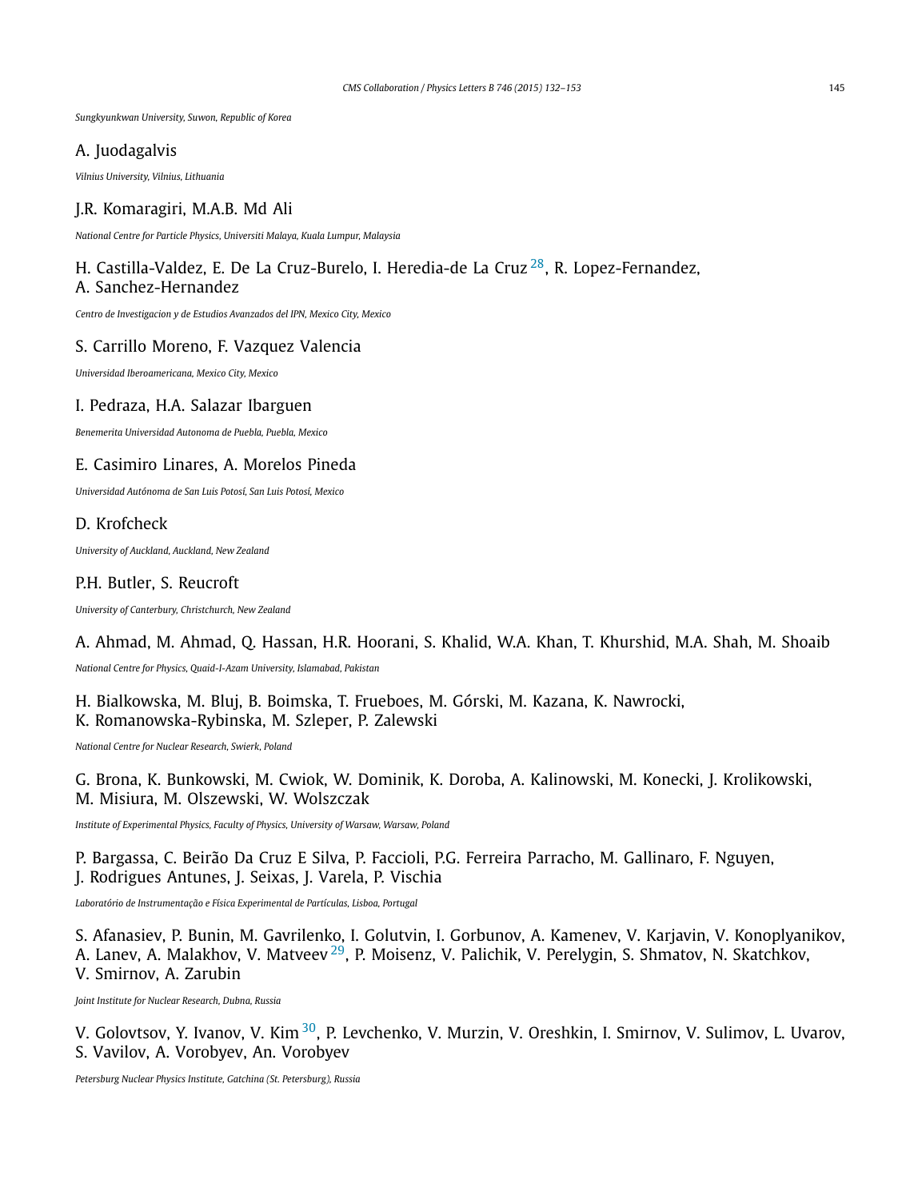*Sungkyunkwan University, Suwon, Republic of Korea*

### A. Juodagalvis

*Vilnius University, Vilnius, Lithuania*

## J.R. Komaragiri, M.A.B. Md Ali

*National Centre for Particle Physics, Universiti Malaya, Kuala Lumpur, Malaysia*

### H. Castilla-Valdez, E. De La Cruz-Burelo, I. Heredia-de La Cruz<sup>28</sup>, R. Lopez-Fernandez, A. Sanchez-Hernandez

*Centro de Investigacion y de Estudios Avanzados del IPN, Mexico City, Mexico*

### S. Carrillo Moreno, F. Vazquez Valencia

*Universidad Iberoamericana, Mexico City, Mexico*

### I. Pedraza, H.A. Salazar Ibarguen

*Benemerita Universidad Autonoma de Puebla, Puebla, Mexico*

### E. Casimiro Linares, A. Morelos Pineda

*Universidad Autónoma de San Luis Potosí, San Luis Potosí, Mexico*

### D. Krofcheck

*University of Auckland, Auckland, New Zealand*

### P.H. Butler, S. Reucroft

*University of Canterbury, Christchurch, New Zealand*

A. Ahmad, M. Ahmad, Q. Hassan, H.R. Hoorani, S. Khalid, W.A. Khan, T. Khurshid, M.A. Shah, M. Shoaib

*National Centre for Physics, Quaid-I-Azam University, Islamabad, Pakistan*

H. Bialkowska, M. Bluj, B. Boimska, T. Frueboes, M. Górski, M. Kazana, K. Nawrocki, K. Romanowska-Rybinska, M. Szleper, P. Zalewski

*National Centre for Nuclear Research, Swierk, Poland*

G. Brona, K. Bunkowski, M. Cwiok, W. Dominik, K. Doroba, A. Kalinowski, M. Konecki, J. Krolikowski, M. Misiura, M. Olszewski, W. Wolszczak

*Institute of Experimental Physics, Faculty of Physics, University of Warsaw, Warsaw, Poland*

P. Bargassa, C. Beirão Da Cruz E Silva, P. Faccioli, P.G. Ferreira Parracho, M. Gallinaro, F. Nguyen, J. Rodrigues Antunes, J. Seixas, J. Varela, P. Vischia

*Laboratório de Instrumentação e Física Experimental de Partículas, Lisboa, Portugal*

S. Afanasiev, P. Bunin, M. Gavrilenko, I. Golutvin, I. Gorbunov, A. Kamenev, V. Karjavin, V. Konoplyanikov, A. Lanev, A. Malakhov, V. Matveev<sup>29</sup>, P. Moisenz, V. Palichik, V. Perelygin, S. Shmatov, N. Skatchkov, V. Smirnov, A. Zarubin

*Joint Institute for Nuclear Research, Dubna, Russia*

V. Golovtsov, Y. Ivanov, V. Kim [30,](#page-20-0) P. Levchenko, V. Murzin, V. Oreshkin, I. Smirnov, V. Sulimov, L. Uvarov, S. Vavilov, A. Vorobyev, An. Vorobyev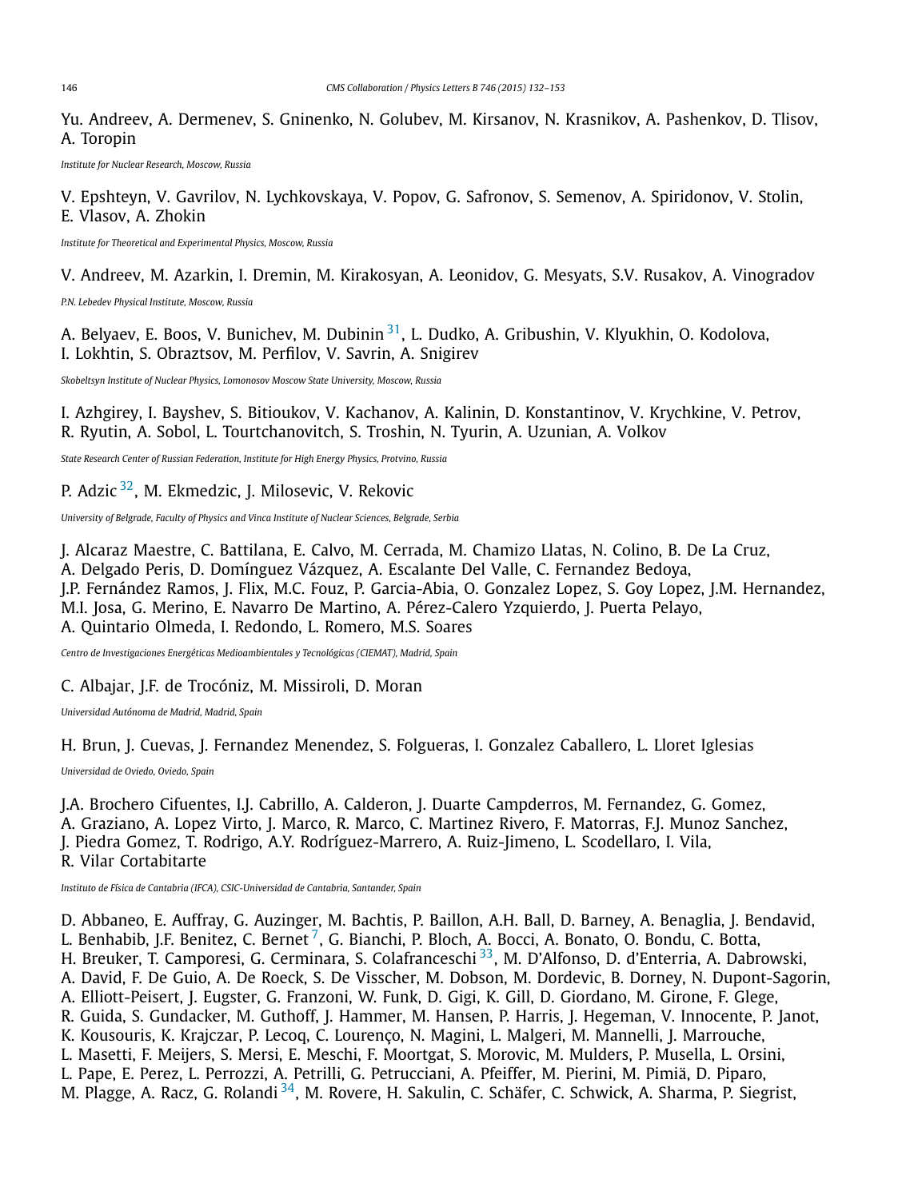Yu. Andreev, A. Dermenev, S. Gninenko, N. Golubev, M. Kirsanov, N. Krasnikov, A. Pashenkov, D. Tlisov, A. Toropin

*Institute for Nuclear Research, Moscow, Russia*

V. Epshteyn, V. Gavrilov, N. Lychkovskaya, V. Popov, G. Safronov, S. Semenov, A. Spiridonov, V. Stolin, E. Vlasov, A. Zhokin

*Institute for Theoretical and Experimental Physics, Moscow, Russia*

V. Andreev, M. Azarkin, I. Dremin, M. Kirakosyan, A. Leonidov, G. Mesyats, S.V. Rusakov, A. Vinogradov

*P.N. Lebedev Physical Institute, Moscow, Russia*

A. Belyaev, E. Boos, V. Bunichev, M. Dubinin <sup>31</sup>, L. Dudko, A. Gribushin, V. Klyukhin, O. Kodolova, I. Lokhtin, S. Obraztsov, M. Perfilov, V. Savrin, A. Snigirev

*Skobeltsyn Institute of Nuclear Physics, Lomonosov Moscow State University, Moscow, Russia*

I. Azhgirey, I. Bayshev, S. Bitioukov, V. Kachanov, A. Kalinin, D. Konstantinov, V. Krychkine, V. Petrov, R. Ryutin, A. Sobol, L. Tourtchanovitch, S. Troshin, N. Tyurin, A. Uzunian, A. Volkov

*State Research Center of Russian Federation, Institute for High Energy Physics, Protvino, Russia*

P. Adzic [32,](#page-20-0) M. Ekmedzic, J. Milosevic, V. Rekovic

*University of Belgrade, Faculty of Physics and Vinca Institute of Nuclear Sciences, Belgrade, Serbia*

J. Alcaraz Maestre, C. Battilana, E. Calvo, M. Cerrada, M. Chamizo Llatas, N. Colino, B. De La Cruz, A. Delgado Peris, D. Domínguez Vázquez, A. Escalante Del Valle, C. Fernandez Bedoya, J.P. Fernández Ramos, J. Flix, M.C. Fouz, P. Garcia-Abia, O. Gonzalez Lopez, S. Goy Lopez, J.M. Hernandez, M.I. Josa, G. Merino, E. Navarro De Martino, A. Pérez-Calero Yzquierdo, J. Puerta Pelayo, A. Quintario Olmeda, I. Redondo, L. Romero, M.S. Soares

*Centro de Investigaciones Energéticas Medioambientales y Tecnológicas (CIEMAT), Madrid, Spain*

C. Albajar, J.F. de Trocóniz, M. Missiroli, D. Moran

*Universidad Autónoma de Madrid, Madrid, Spain*

H. Brun, J. Cuevas, J. Fernandez Menendez, S. Folgueras, I. Gonzalez Caballero, L. Lloret Iglesias

*Universidad de Oviedo, Oviedo, Spain*

J.A. Brochero Cifuentes, I.J. Cabrillo, A. Calderon, J. Duarte Campderros, M. Fernandez, G. Gomez, A. Graziano, A. Lopez Virto, J. Marco, R. Marco, C. Martinez Rivero, F. Matorras, F.J. Munoz Sanchez, J. Piedra Gomez, T. Rodrigo, A.Y. Rodríguez-Marrero, A. Ruiz-Jimeno, L. Scodellaro, I. Vila, R. Vilar Cortabitarte

*Instituto de Física de Cantabria (IFCA), CSIC-Universidad de Cantabria, Santander, Spain*

D. Abbaneo, E. Auffray, G. Auzinger, M. Bachtis, P. Baillon, A.H. Ball, D. Barney, A. Benaglia, J. Bendavid, L. Benhabib, J.F. Benitez, C. Bernet<sup>7</sup>, G. Bianchi, P. Bloch, A. Bocci, A. Bonato, O. Bondu, C. Botta, H. Breuker, T. Camporesi, G. Cerminara, S. Colafranceschi<sup>33</sup>, M. D'Alfonso, D. d'Enterria, A. Dabrowski, A. David, F. De Guio, A. De Roeck, S. De Visscher, M. Dobson, M. Dordevic, B. Dorney, N. Dupont-Sagorin, A. Elliott-Peisert, J. Eugster, G. Franzoni, W. Funk, D. Gigi, K. Gill, D. Giordano, M. Girone, F. Glege, R. Guida, S. Gundacker, M. Guthoff, J. Hammer, M. Hansen, P. Harris, J. Hegeman, V. Innocente, P. Janot, K. Kousouris, K. Krajczar, P. Lecoq, C. Lourenço, N. Magini, L. Malgeri, M. Mannelli, J. Marrouche, L. Masetti, F. Meijers, S. Mersi, E. Meschi, F. Moortgat, S. Morovic, M. Mulders, P. Musella, L. Orsini, L. Pape, E. Perez, L. Perrozzi, A. Petrilli, G. Petrucciani, A. Pfeiffer, M. Pierini, M. Pimiä, D. Piparo, M. Plagge, A. Racz, G. Rolandi [34,](#page-20-0) M. Rovere, H. Sakulin, C. Schäfer, C. Schwick, A. Sharma, P. Siegrist,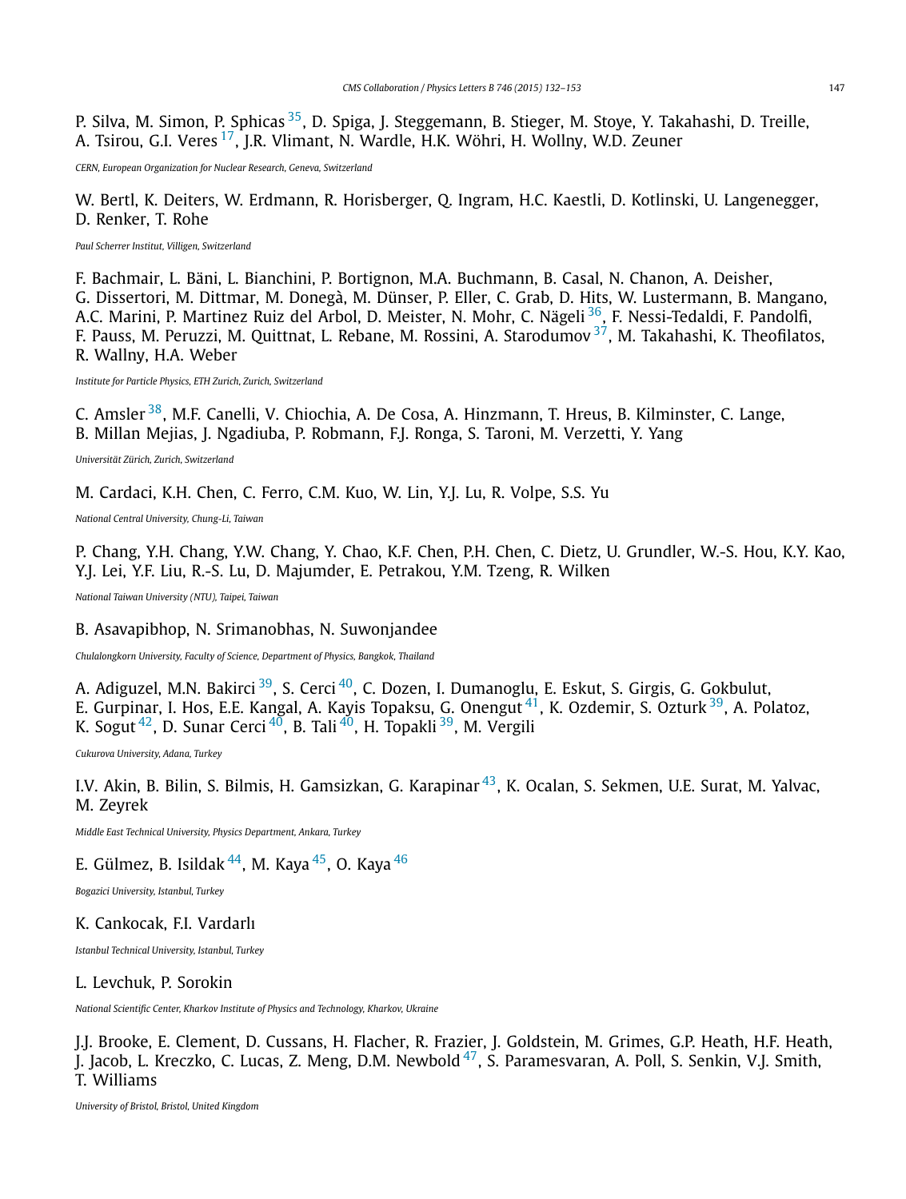P. Silva, M. Simon, P. Sphicas<sup>35</sup>, D. Spiga, J. Steggemann, B. Stieger, M. Stoye, Y. Takahashi, D. Treille, A. Tsirou, G.I. Veres [17,](#page-20-0) J.R. Vlimant, N. Wardle, H.K. Wöhri, H. Wollny, W.D. Zeuner

*CERN, European Organization for Nuclear Research, Geneva, Switzerland*

W. Bertl, K. Deiters, W. Erdmann, R. Horisberger, Q. Ingram, H.C. Kaestli, D. Kotlinski, U. Langenegger, D. Renker, T. Rohe

*Paul Scherrer Institut, Villigen, Switzerland*

F. Bachmair, L. Bäni, L. Bianchini, P. Bortignon, M.A. Buchmann, B. Casal, N. Chanon, A. Deisher, G. Dissertori, M. Dittmar, M. Donegà, M. Dünser, P. Eller, C. Grab, D. Hits, W. Lustermann, B. Mangano, A.C. Marini, P. Martinez Ruiz del Arbol, D. Meister, N. Mohr, C. Nägeli <sup>36</sup>, F. Nessi-Tedaldi, F. Pandolfi, F. Pauss, M. Peruzzi, M. Quittnat, L. Rebane, M. Rossini, A. Starodumov <sup>37</sup>, M. Takahashi, K. Theofilatos, R. Wallny, H.A. Weber

*Institute for Particle Physics, ETH Zurich, Zurich, Switzerland*

C. Amsler [38,](#page-20-0) M.F. Canelli, V. Chiochia, A. De Cosa, A. Hinzmann, T. Hreus, B. Kilminster, C. Lange, B. Millan Mejias, J. Ngadiuba, P. Robmann, F.J. Ronga, S. Taroni, M. Verzetti, Y. Yang

*Universität Zürich, Zurich, Switzerland*

M. Cardaci, K.H. Chen, C. Ferro, C.M. Kuo, W. Lin, Y.J. Lu, R. Volpe, S.S. Yu

*National Central University, Chung-Li, Taiwan*

P. Chang, Y.H. Chang, Y.W. Chang, Y. Chao, K.F. Chen, P.H. Chen, C. Dietz, U. Grundler, W.-S. Hou, K.Y. Kao, Y.J. Lei, Y.F. Liu, R.-S. Lu, D. Majumder, E. Petrakou, Y.M. Tzeng, R. Wilken

*National Taiwan University (NTU), Taipei, Taiwan*

B. Asavapibhop, N. Srimanobhas, N. Suwonjandee

*Chulalongkorn University, Faculty of Science, Department of Physics, Bangkok, Thailand*

A. Adiguzel, M.N. Bakirci <sup>39</sup>, S. Cerci <sup>40</sup>, C. Dozen, I. Dumanoglu, E. Eskut, S. Girgis, G. Gokbulut, E. Gurpinar, I. Hos, E.E. Kangal, A. Kayis Topaksu, G. Onengut<sup>41</sup>, K. Ozdemir, S. Ozturk<sup>39</sup>, A. Polatoz, K. Sogut  $42$ , D. Sunar Cerci  $40$ , B. Tali  $40$ , H. Topakli  $39$ , M. Vergili

*Cukurova University, Adana, Turkey*

I.V. Akin, B. Bilin, S. Bilmis, H. Gamsizkan, G. Karapinar<sup>43</sup>, K. Ocalan, S. Sekmen, U.E. Surat, M. Yalvac, M. Zeyrek

*Middle East Technical University, Physics Department, Ankara, Turkey*

E. Gülmez, B. Isildak  $^{44}$ , M. Kaya  $^{45}$ , O. Kaya  $^{46}$  $^{46}$  $^{46}$ 

*Bogazici University, Istanbul, Turkey*

#### K. Cankocak, F.I. Vardarlı

*Istanbul Technical University, Istanbul, Turkey*

#### L. Levchuk, P. Sorokin

*National Scientific Center, Kharkov Institute of Physics and Technology, Kharkov, Ukraine*

J.J. Brooke, E. Clement, D. Cussans, H. Flacher, R. Frazier, J. Goldstein, M. Grimes, G.P. Heath, H.F. Heath, J. Jacob, L. Kreczko, C. Lucas, Z. Meng, D.M. Newbold [47,](#page-20-0) S. Paramesvaran, A. Poll, S. Senkin, V.J. Smith, T. Williams

*University of Bristol, Bristol, United Kingdom*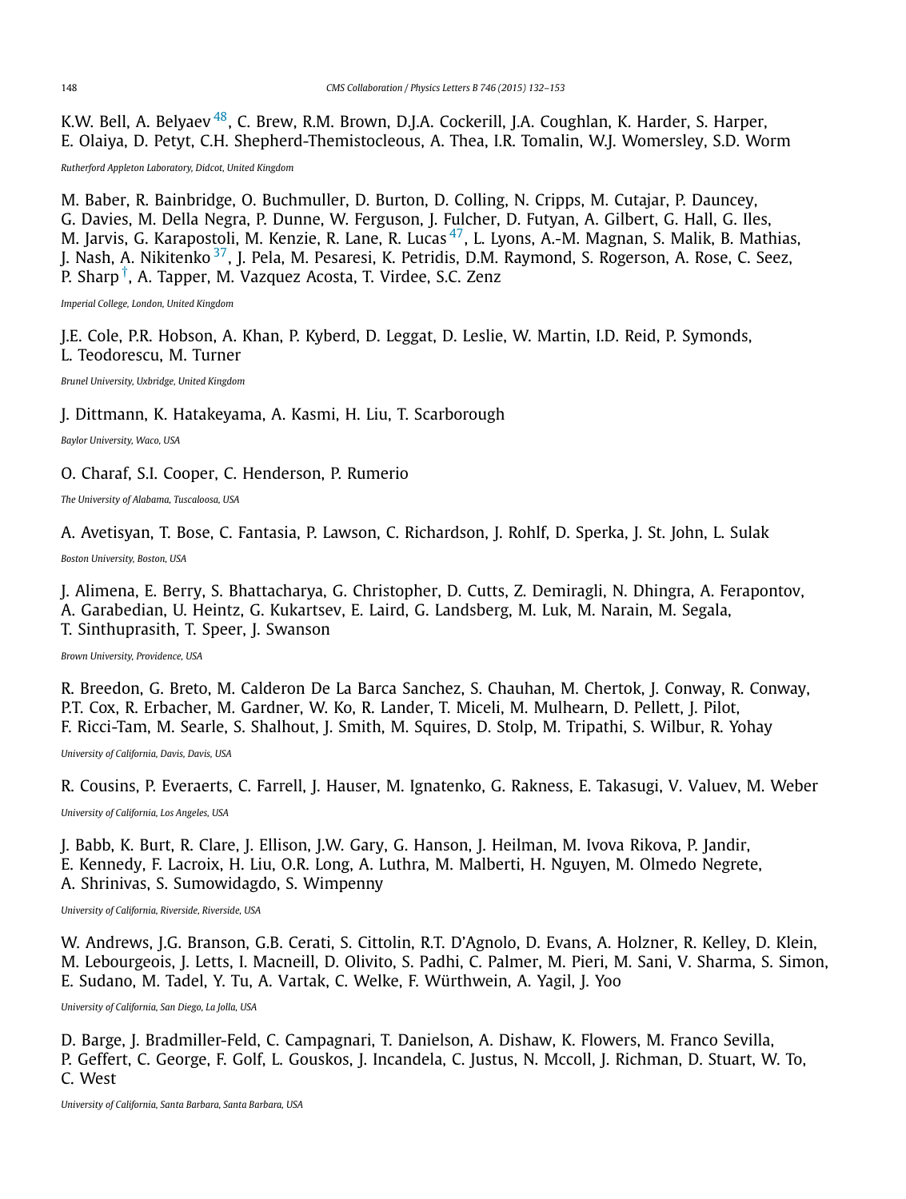K.W. Bell, A. Belyaev<sup>48</sup>, C. Brew, R.M. Brown, D.J.A. Cockerill, J.A. Coughlan, K. Harder, S. Harper, E. Olaiya, D. Petyt, C.H. Shepherd-Themistocleous, A. Thea, I.R. Tomalin, W.J. Womersley, S.D. Worm

*Rutherford Appleton Laboratory, Didcot, United Kingdom*

M. Baber, R. Bainbridge, O. Buchmuller, D. Burton, D. Colling, N. Cripps, M. Cutajar, P. Dauncey, G. Davies, M. Della Negra, P. Dunne, W. Ferguson, J. Fulcher, D. Futyan, A. Gilbert, G. Hall, G. Iles, M. Jarvis, G. Karapostoli, M. Kenzie, R. Lane, R. Lucas [47,](#page-20-0) L. Lyons, A.-M. Magnan, S. Malik, B. Mathias, J. Nash, A. Nikitenko [37,](#page-20-0) J. Pela, M. Pesaresi, K. Petridis, D.M. Raymond, S. Rogerson, A. Rose, C. Seez, P. Sharp [†,](#page-20-0) A. Tapper, M. Vazquez Acosta, T. Virdee, S.C. Zenz

*Imperial College, London, United Kingdom*

J.E. Cole, P.R. Hobson, A. Khan, P. Kyberd, D. Leggat, D. Leslie, W. Martin, I.D. Reid, P. Symonds, L. Teodorescu, M. Turner

*Brunel University, Uxbridge, United Kingdom*

#### J. Dittmann, K. Hatakeyama, A. Kasmi, H. Liu, T. Scarborough

*Baylor University, Waco, USA*

#### O. Charaf, S.I. Cooper, C. Henderson, P. Rumerio

*The University of Alabama, Tuscaloosa, USA*

A. Avetisyan, T. Bose, C. Fantasia, P. Lawson, C. Richardson, J. Rohlf, D. Sperka, J. St. John, L. Sulak

*Boston University, Boston, USA*

J. Alimena, E. Berry, S. Bhattacharya, G. Christopher, D. Cutts, Z. Demiragli, N. Dhingra, A. Ferapontov, A. Garabedian, U. Heintz, G. Kukartsev, E. Laird, G. Landsberg, M. Luk, M. Narain, M. Segala, T. Sinthuprasith, T. Speer, J. Swanson

*Brown University, Providence, USA*

R. Breedon, G. Breto, M. Calderon De La Barca Sanchez, S. Chauhan, M. Chertok, J. Conway, R. Conway, P.T. Cox, R. Erbacher, M. Gardner, W. Ko, R. Lander, T. Miceli, M. Mulhearn, D. Pellett, J. Pilot, F. Ricci-Tam, M. Searle, S. Shalhout, J. Smith, M. Squires, D. Stolp, M. Tripathi, S. Wilbur, R. Yohay

*University of California, Davis, Davis, USA*

R. Cousins, P. Everaerts, C. Farrell, J. Hauser, M. Ignatenko, G. Rakness, E. Takasugi, V. Valuev, M. Weber *University of California, Los Angeles, USA*

J. Babb, K. Burt, R. Clare, J. Ellison, J.W. Gary, G. Hanson, J. Heilman, M. Ivova Rikova, P. Jandir, E. Kennedy, F. Lacroix, H. Liu, O.R. Long, A. Luthra, M. Malberti, H. Nguyen, M. Olmedo Negrete, A. Shrinivas, S. Sumowidagdo, S. Wimpenny

*University of California, Riverside, Riverside, USA*

W. Andrews, J.G. Branson, G.B. Cerati, S. Cittolin, R.T. D'Agnolo, D. Evans, A. Holzner, R. Kelley, D. Klein, M. Lebourgeois, J. Letts, I. Macneill, D. Olivito, S. Padhi, C. Palmer, M. Pieri, M. Sani, V. Sharma, S. Simon, E. Sudano, M. Tadel, Y. Tu, A. Vartak, C. Welke, F. Würthwein, A. Yagil, J. Yoo

*University of California, San Diego, La Jolla, USA*

D. Barge, J. Bradmiller-Feld, C. Campagnari, T. Danielson, A. Dishaw, K. Flowers, M. Franco Sevilla, P. Geffert, C. George, F. Golf, L. Gouskos, J. Incandela, C. Justus, N. Mccoll, J. Richman, D. Stuart, W. To, C. West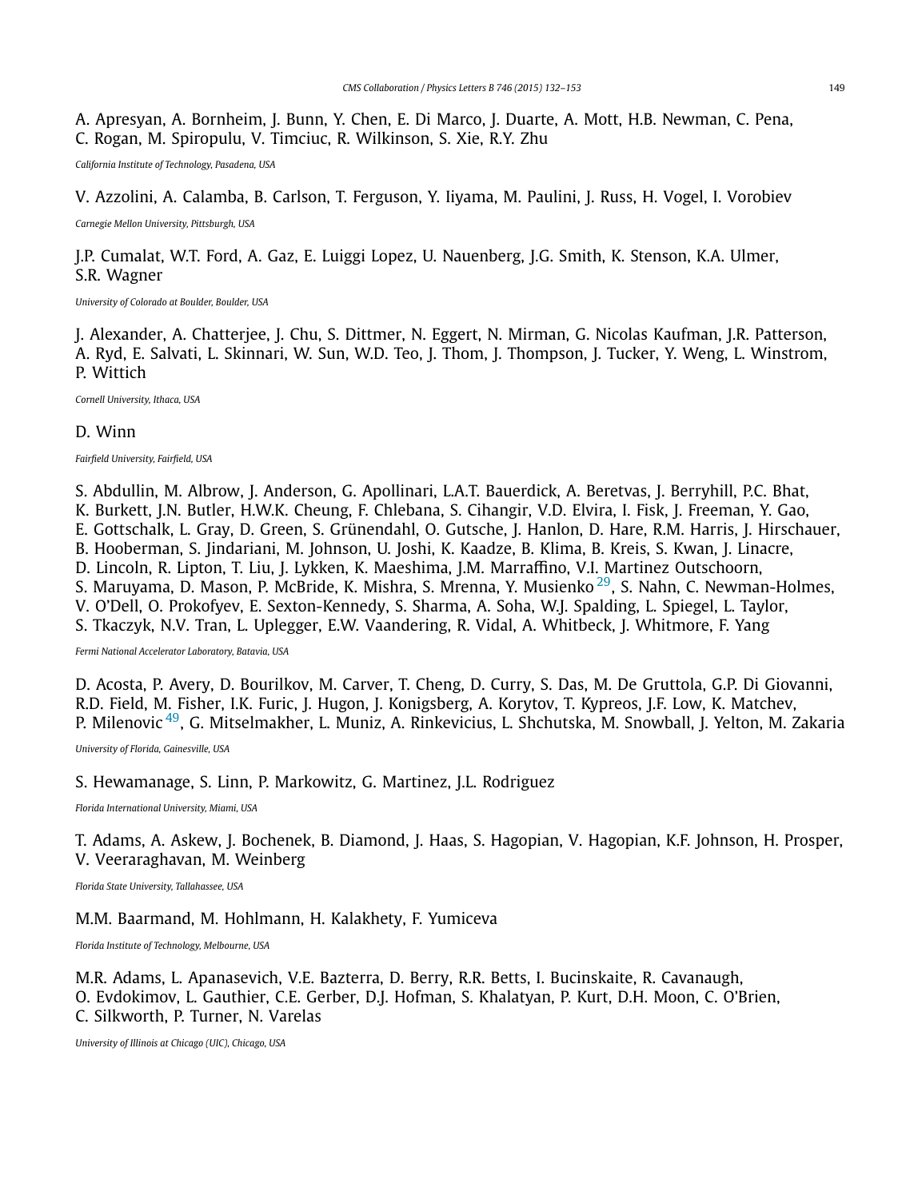A. Apresyan, A. Bornheim, J. Bunn, Y. Chen, E. Di Marco, J. Duarte, A. Mott, H.B. Newman, C. Pena, C. Rogan, M. Spiropulu, V. Timciuc, R. Wilkinson, S. Xie, R.Y. Zhu

*California Institute of Technology, Pasadena, USA*

V. Azzolini, A. Calamba, B. Carlson, T. Ferguson, Y. Iiyama, M. Paulini, J. Russ, H. Vogel, I. Vorobiev *Carnegie Mellon University, Pittsburgh, USA*

J.P. Cumalat, W.T. Ford, A. Gaz, E. Luiggi Lopez, U. Nauenberg, J.G. Smith, K. Stenson, K.A. Ulmer, S.R. Wagner

*University of Colorado at Boulder, Boulder, USA*

J. Alexander, A. Chatterjee, J. Chu, S. Dittmer, N. Eggert, N. Mirman, G. Nicolas Kaufman, J.R. Patterson, A. Ryd, E. Salvati, L. Skinnari, W. Sun, W.D. Teo, J. Thom, J. Thompson, J. Tucker, Y. Weng, L. Winstrom, P. Wittich

*Cornell University, Ithaca, USA*

#### D. Winn

*Fairfield University, Fairfield, USA*

S. Abdullin, M. Albrow, J. Anderson, G. Apollinari, L.A.T. Bauerdick, A. Beretvas, J. Berryhill, P.C. Bhat, K. Burkett, J.N. Butler, H.W.K. Cheung, F. Chlebana, S. Cihangir, V.D. Elvira, I. Fisk, J. Freeman, Y. Gao, E. Gottschalk, L. Gray, D. Green, S. Grünendahl, O. Gutsche, J. Hanlon, D. Hare, R.M. Harris, J. Hirschauer, B. Hooberman, S. Jindariani, M. Johnson, U. Joshi, K. Kaadze, B. Klima, B. Kreis, S. Kwan, J. Linacre, D. Lincoln, R. Lipton, T. Liu, J. Lykken, K. Maeshima, J.M. Marraffino, V.I. Martinez Outschoorn, S. Maruyama, D. Mason, P. McBride, K. Mishra, S. Mrenna, Y. Musienko <sup>29</sup>, S. Nahn, C. Newman-Holmes. V. O'Dell, O. Prokofyev, E. Sexton-Kennedy, S. Sharma, A. Soha, W.J. Spalding, L. Spiegel, L. Taylor, S. Tkaczyk, N.V. Tran, L. Uplegger, E.W. Vaandering, R. Vidal, A. Whitbeck, J. Whitmore, F. Yang

*Fermi National Accelerator Laboratory, Batavia, USA*

D. Acosta, P. Avery, D. Bourilkov, M. Carver, T. Cheng, D. Curry, S. Das, M. De Gruttola, G.P. Di Giovanni, R.D. Field, M. Fisher, I.K. Furic, J. Hugon, J. Konigsberg, A. Korytov, T. Kypreos, J.F. Low, K. Matchev, P. Milenovic<sup>49</sup>, G. Mitselmakher, L. Muniz, A. Rinkevicius, L. Shchutska, M. Snowball, J. Yelton, M. Zakaria

*University of Florida, Gainesville, USA*

S. Hewamanage, S. Linn, P. Markowitz, G. Martinez, J.L. Rodriguez

*Florida International University, Miami, USA*

T. Adams, A. Askew, J. Bochenek, B. Diamond, J. Haas, S. Hagopian, V. Hagopian, K.F. Johnson, H. Prosper, V. Veeraraghavan, M. Weinberg

*Florida State University, Tallahassee, USA*

M.M. Baarmand, M. Hohlmann, H. Kalakhety, F. Yumiceva

*Florida Institute of Technology, Melbourne, USA*

M.R. Adams, L. Apanasevich, V.E. Bazterra, D. Berry, R.R. Betts, I. Bucinskaite, R. Cavanaugh, O. Evdokimov, L. Gauthier, C.E. Gerber, D.J. Hofman, S. Khalatyan, P. Kurt, D.H. Moon, C. O'Brien, C. Silkworth, P. Turner, N. Varelas

*University of Illinois at Chicago (UIC), Chicago, USA*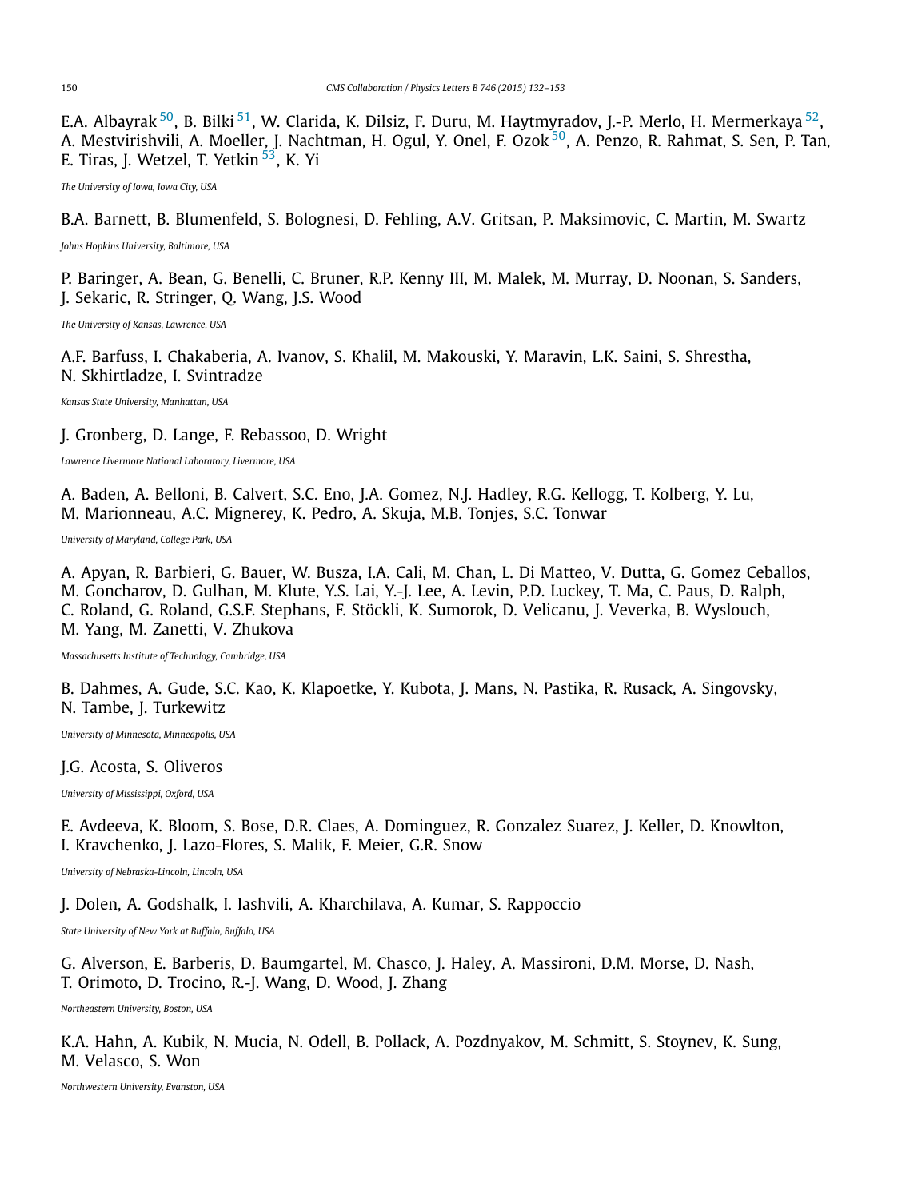E.A. Albayrak [50,](#page-21-0) B. Bilki [51,](#page-21-0) W. Clarida, K. Dilsiz, F. Duru, M. Haytmyradov, J.-P. Merlo, H. Mermerkaya [52,](#page-21-0) A. Mestvirishvili, A. Moeller, J. Nachtman, H. Ogul, Y. Onel, F. Ozok <sup>50</sup>, A. Penzo, R. Rahmat, S. Sen, P. Tan, E. Tiras, J. Wetzel, T. Yetkin <sup>53</sup>, K. Yi

*The University of Iowa, Iowa City, USA*

B.A. Barnett, B. Blumenfeld, S. Bolognesi, D. Fehling, A.V. Gritsan, P. Maksimovic, C. Martin, M. Swartz

*Johns Hopkins University, Baltimore, USA*

P. Baringer, A. Bean, G. Benelli, C. Bruner, R.P. Kenny III, M. Malek, M. Murray, D. Noonan, S. Sanders, J. Sekaric, R. Stringer, Q. Wang, J.S. Wood

*The University of Kansas, Lawrence, USA*

A.F. Barfuss, I. Chakaberia, A. Ivanov, S. Khalil, M. Makouski, Y. Maravin, L.K. Saini, S. Shrestha, N. Skhirtladze, I. Svintradze

*Kansas State University, Manhattan, USA*

J. Gronberg, D. Lange, F. Rebassoo, D. Wright

*Lawrence Livermore National Laboratory, Livermore, USA*

A. Baden, A. Belloni, B. Calvert, S.C. Eno, J.A. Gomez, N.J. Hadley, R.G. Kellogg, T. Kolberg, Y. Lu, M. Marionneau, A.C. Mignerey, K. Pedro, A. Skuja, M.B. Tonjes, S.C. Tonwar

*University of Maryland, College Park, USA*

A. Apyan, R. Barbieri, G. Bauer, W. Busza, I.A. Cali, M. Chan, L. Di Matteo, V. Dutta, G. Gomez Ceballos, M. Goncharov, D. Gulhan, M. Klute, Y.S. Lai, Y.-J. Lee, A. Levin, P.D. Luckey, T. Ma, C. Paus, D. Ralph, C. Roland, G. Roland, G.S.F. Stephans, F. Stöckli, K. Sumorok, D. Velicanu, J. Veverka, B. Wyslouch, M. Yang, M. Zanetti, V. Zhukova

*Massachusetts Institute of Technology, Cambridge, USA*

B. Dahmes, A. Gude, S.C. Kao, K. Klapoetke, Y. Kubota, J. Mans, N. Pastika, R. Rusack, A. Singovsky, N. Tambe, J. Turkewitz

*University of Minnesota, Minneapolis, USA*

J.G. Acosta, S. Oliveros

*University of Mississippi, Oxford, USA*

E. Avdeeva, K. Bloom, S. Bose, D.R. Claes, A. Dominguez, R. Gonzalez Suarez, J. Keller, D. Knowlton, I. Kravchenko, J. Lazo-Flores, S. Malik, F. Meier, G.R. Snow

*University of Nebraska-Lincoln, Lincoln, USA*

J. Dolen, A. Godshalk, I. Iashvili, A. Kharchilava, A. Kumar, S. Rappoccio

*State University of New York at Buffalo, Buffalo, USA*

G. Alverson, E. Barberis, D. Baumgartel, M. Chasco, J. Haley, A. Massironi, D.M. Morse, D. Nash, T. Orimoto, D. Trocino, R.-J. Wang, D. Wood, J. Zhang

*Northeastern University, Boston, USA*

K.A. Hahn, A. Kubik, N. Mucia, N. Odell, B. Pollack, A. Pozdnyakov, M. Schmitt, S. Stoynev, K. Sung, M. Velasco, S. Won

*Northwestern University, Evanston, USA*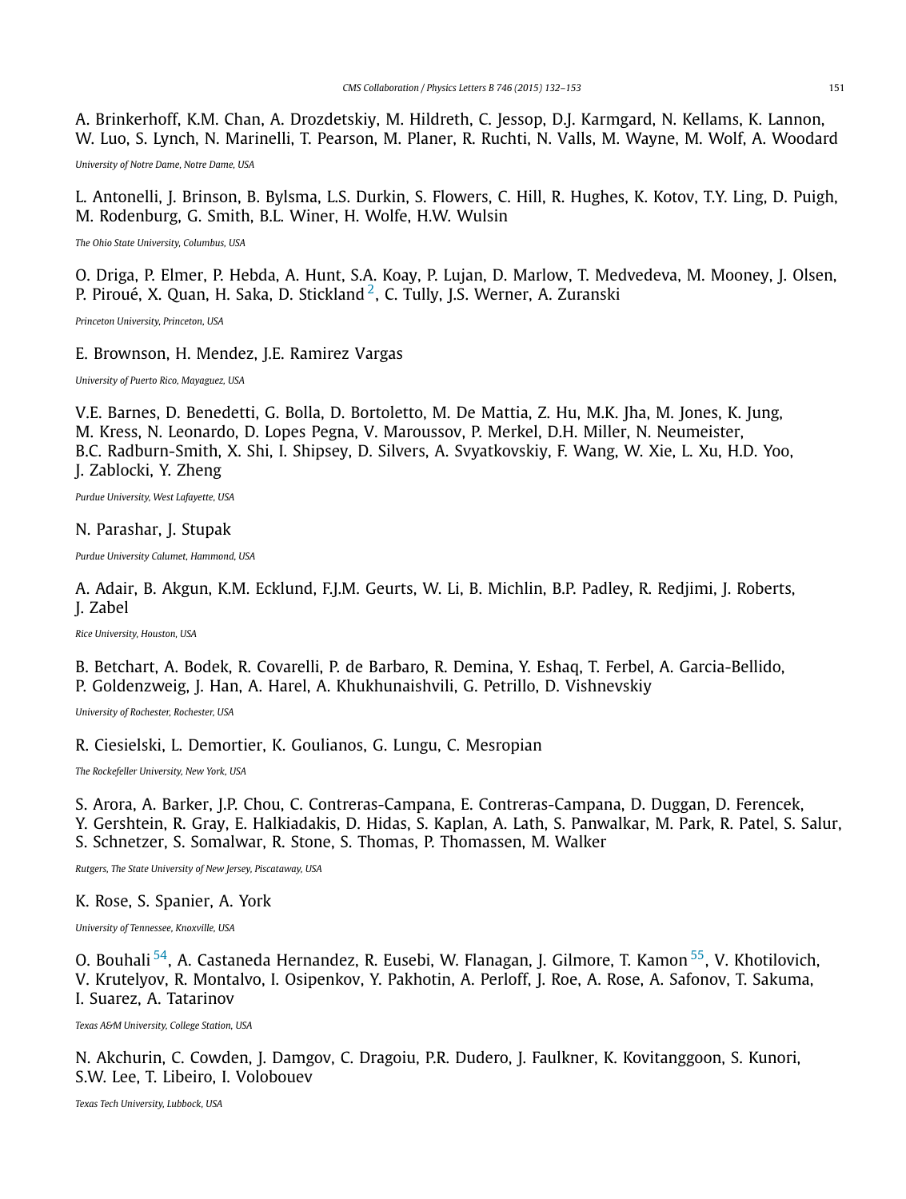A. Brinkerhoff, K.M. Chan, A. Drozdetskiy, M. Hildreth, C. Jessop, D.J. Karmgard, N. Kellams, K. Lannon, W. Luo, S. Lynch, N. Marinelli, T. Pearson, M. Planer, R. Ruchti, N. Valls, M. Wayne, M. Wolf, A. Woodard

*University of Notre Dame, Notre Dame, USA*

L. Antonelli, J. Brinson, B. Bylsma, L.S. Durkin, S. Flowers, C. Hill, R. Hughes, K. Kotov, T.Y. Ling, D. Puigh, M. Rodenburg, G. Smith, B.L. Winer, H. Wolfe, H.W. Wulsin

*The Ohio State University, Columbus, USA*

O. Driga, P. Elmer, P. Hebda, A. Hunt, S.A. Koay, P. Lujan, D. Marlow, T. Medvedeva, M. Mooney, J. Olsen, P. Piroué, X. Quan, H. Saka, D. Stickland<sup>2</sup>, C. Tully, J.S. Werner, A. Zuranski

*Princeton University, Princeton, USA*

### E. Brownson, H. Mendez, J.E. Ramirez Vargas

*University of Puerto Rico, Mayaguez, USA*

V.E. Barnes, D. Benedetti, G. Bolla, D. Bortoletto, M. De Mattia, Z. Hu, M.K. Jha, M. Jones, K. Jung, M. Kress, N. Leonardo, D. Lopes Pegna, V. Maroussov, P. Merkel, D.H. Miller, N. Neumeister, B.C. Radburn-Smith, X. Shi, I. Shipsey, D. Silvers, A. Svyatkovskiy, F. Wang, W. Xie, L. Xu, H.D. Yoo, J. Zablocki, Y. Zheng

*Purdue University, West Lafayette, USA*

#### N. Parashar, J. Stupak

*Purdue University Calumet, Hammond, USA*

A. Adair, B. Akgun, K.M. Ecklund, F.J.M. Geurts, W. Li, B. Michlin, B.P. Padley, R. Redjimi, J. Roberts, J. Zabel

*Rice University, Houston, USA*

B. Betchart, A. Bodek, R. Covarelli, P. de Barbaro, R. Demina, Y. Eshaq, T. Ferbel, A. Garcia-Bellido, P. Goldenzweig, J. Han, A. Harel, A. Khukhunaishvili, G. Petrillo, D. Vishnevskiy

*University of Rochester, Rochester, USA*

R. Ciesielski, L. Demortier, K. Goulianos, G. Lungu, C. Mesropian

*The Rockefeller University, New York, USA*

S. Arora, A. Barker, J.P. Chou, C. Contreras-Campana, E. Contreras-Campana, D. Duggan, D. Ferencek, Y. Gershtein, R. Gray, E. Halkiadakis, D. Hidas, S. Kaplan, A. Lath, S. Panwalkar, M. Park, R. Patel, S. Salur, S. Schnetzer, S. Somalwar, R. Stone, S. Thomas, P. Thomassen, M. Walker

*Rutgers, The State University of New Jersey, Piscataway, USA*

K. Rose, S. Spanier, A. York

*University of Tennessee, Knoxville, USA*

O. Bouhali <sup>[54](#page-21-0)</sup>, A. Castaneda Hernandez, R. Eusebi, W. Flanagan, J. Gilmore, T. Kamon <sup>55</sup>, V. Khotilovich, V. Krutelyov, R. Montalvo, I. Osipenkov, Y. Pakhotin, A. Perloff, J. Roe, A. Rose, A. Safonov, T. Sakuma, I. Suarez, A. Tatarinov

*Texas A&M University, College Station, USA*

N. Akchurin, C. Cowden, J. Damgov, C. Dragoiu, P.R. Dudero, J. Faulkner, K. Kovitanggoon, S. Kunori, S.W. Lee, T. Libeiro, I. Volobouev

*Texas Tech University, Lubbock, USA*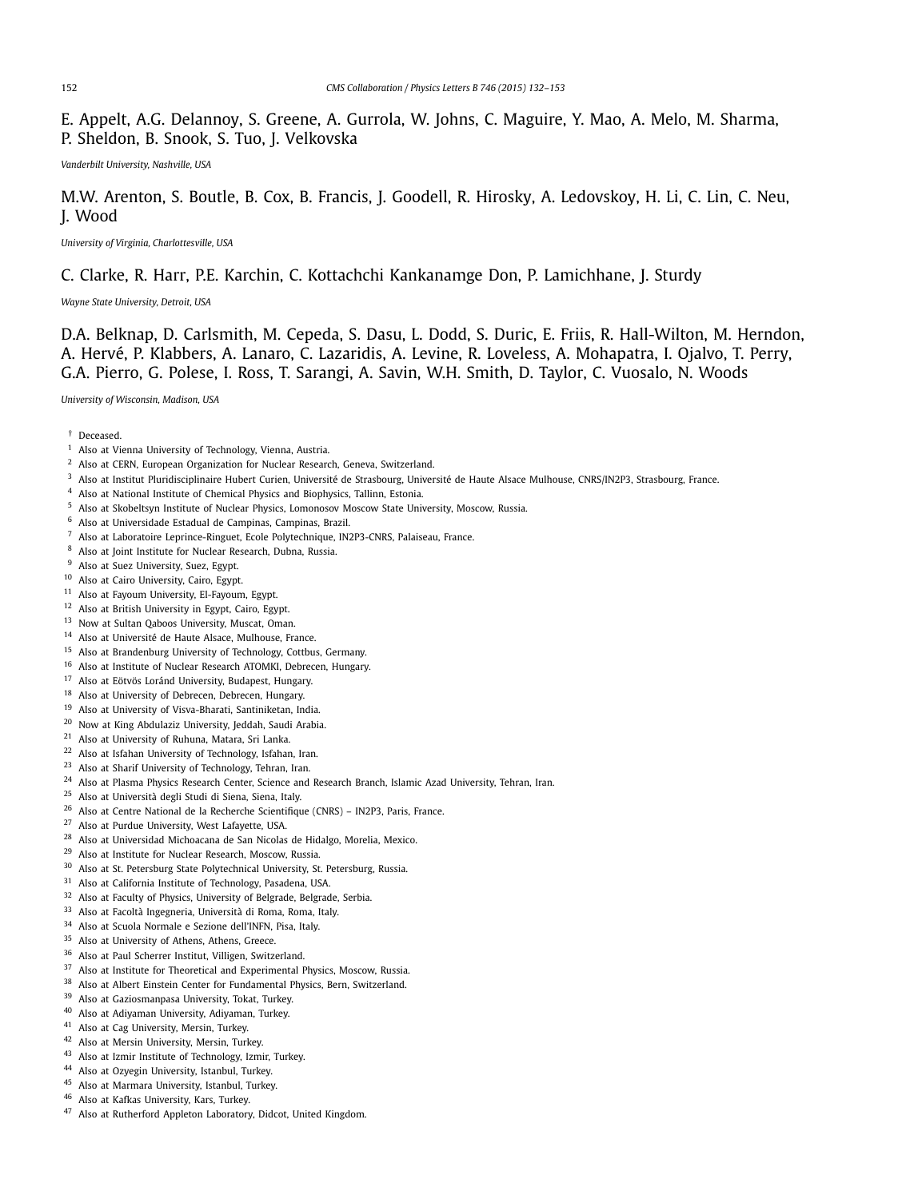### <span id="page-20-0"></span>E. Appelt, A.G. Delannoy, S. Greene, A. Gurrola, W. Johns, C. Maguire, Y. Mao, A. Melo, M. Sharma, P. Sheldon, B. Snook, S. Tuo, J. Velkovska

*Vanderbilt University, Nashville, USA*

### M.W. Arenton, S. Boutle, B. Cox, B. Francis, J. Goodell, R. Hirosky, A. Ledovskoy, H. Li, C. Lin, C. Neu, J. Wood

*University of Virginia, Charlottesville, USA*

#### C. Clarke, R. Harr, P.E. Karchin, C. Kottachchi Kankanamge Don, P. Lamichhane, J. Sturdy

*Wayne State University, Detroit, USA*

D.A. Belknap, D. Carlsmith, M. Cepeda, S. Dasu, L. Dodd, S. Duric, E. Friis, R. Hall-Wilton, M. Herndon, A. Hervé, P. Klabbers, A. Lanaro, C. Lazaridis, A. Levine, R. Loveless, A. Mohapatra, I. Ojalvo, T. Perry, G.A. Pierro, G. Polese, I. Ross, T. Sarangi, A. Savin, W.H. Smith, D. Taylor, C. Vuosalo, N. Woods

*University of Wisconsin, Madison, USA*

- † Deceased.
- <sup>1</sup> Also at Vienna University of Technology, Vienna, Austria.
- Also at CERN, European Organization for Nuclear Research, Geneva, Switzerland.
- Also at Institut Pluridisciplinaire Hubert Curien, Université de Strasbourg, Université de Haute Alsace Mulhouse, CNRS/IN2P3, Strasbourg, France.
- Also at National Institute of Chemical Physics and Biophysics, Tallinn, Estonia.
- Also at Skobeltsyn Institute of Nuclear Physics, Lomonosov Moscow State University, Moscow, Russia.
- Also at Universidade Estadual de Campinas, Campinas, Brazil.
- Also at Laboratoire Leprince-Ringuet, Ecole Polytechnique, IN2P3-CNRS, Palaiseau, France.
- Also at Joint Institute for Nuclear Research, Dubna, Russia.
- <sup>9</sup> Also at Suez University, Suez, Egypt.
- 10 Also at Cairo University, Cairo, Egypt.
- Also at Fayoum University, El-Fayoum, Egypt.
- Also at British University in Egypt, Cairo, Egypt.
- Now at Sultan Qaboos University, Muscat, Oman.
- Also at Université de Haute Alsace, Mulhouse, France.
- Also at Brandenburg University of Technology, Cottbus, Germany.
- Also at Institute of Nuclear Research ATOMKI, Debrecen, Hungary.
- Also at Eötvös Loránd University, Budapest, Hungary.
- Also at University of Debrecen, Debrecen, Hungary.
- Also at University of Visva-Bharati, Santiniketan, India.
- Now at King Abdulaziz University, Jeddah, Saudi Arabia.
- Also at University of Ruhuna, Matara, Sri Lanka.
- Also at Isfahan University of Technology, Isfahan, Iran.
- Also at Sharif University of Technology, Tehran, Iran.
- Also at Plasma Physics Research Center, Science and Research Branch, Islamic Azad University, Tehran, Iran.
- Also at Università degli Studi di Siena, Siena, Italy.
- Also at Centre National de la Recherche Scientifique (CNRS) IN2P3, Paris, France.
- Also at Purdue University, West Lafayette, USA.
- Also at Universidad Michoacana de San Nicolas de Hidalgo, Morelia, Mexico.
- Also at Institute for Nuclear Research, Moscow, Russia.
- Also at St. Petersburg State Polytechnical University, St. Petersburg, Russia.
- Also at California Institute of Technology, Pasadena, USA.
- <sup>32</sup> Also at Faculty of Physics, University of Belgrade, Belgrade, Serbia.
- Also at Facoltà Ingegneria, Università di Roma, Roma, Italy.
- Also at Scuola Normale e Sezione dell'INFN, Pisa, Italy.
- <sup>35</sup> Also at University of Athens, Athens, Greece.
- Also at Paul Scherrer Institut, Villigen, Switzerland.
- <sup>37</sup> Also at Institute for Theoretical and Experimental Physics, Moscow, Russia.
- Also at Albert Einstein Center for Fundamental Physics, Bern, Switzerland.
- Also at Gaziosmanpasa University, Tokat, Turkey.
- Also at Adiyaman University, Adiyaman, Turkey.
- Also at Cag University, Mersin, Turkey.
- Also at Mersin University, Mersin, Turkey.
- Also at Izmir Institute of Technology, Izmir, Turkey.
- Also at Ozyegin University, Istanbul, Turkey.
- Also at Marmara University, Istanbul, Turkey.
- Also at Kafkas University, Kars, Turkey.
- Also at Rutherford Appleton Laboratory, Didcot, United Kingdom.